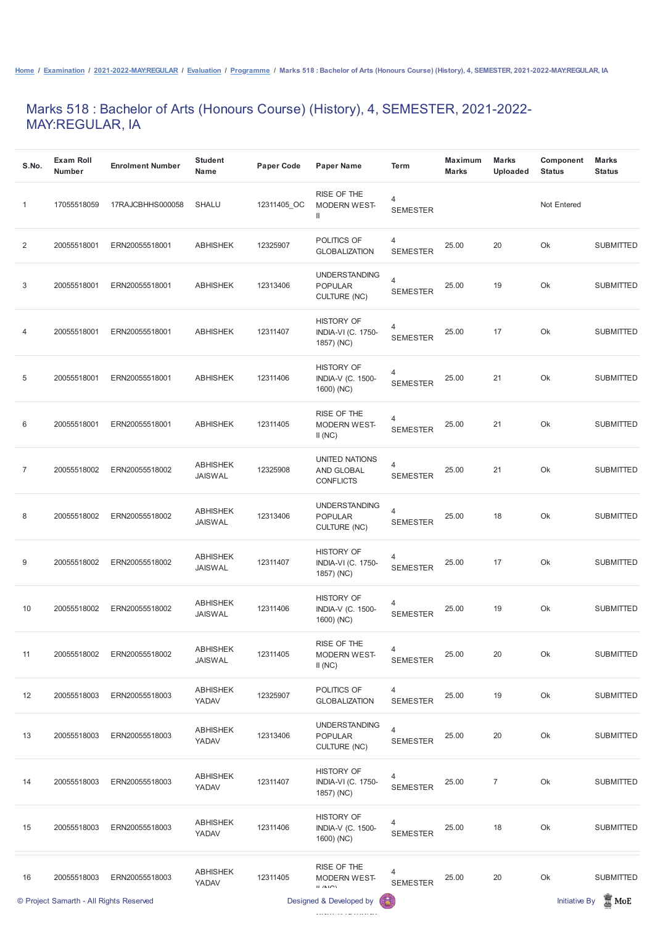## Marks 518 : Bachelor of Arts (Honours Course) (History), 4, SEMESTER, 2021-2022- MAY:REGULAR, IA

| S.No.          | <b>Exam Roll</b><br><b>Number</b> | <b>Enrolment Number</b> | <b>Student</b><br><b>Name</b>     | <b>Paper Code</b> | <b>Paper Name</b>                                             | <b>Term</b>                       | <b>Maximum</b><br><b>Marks</b> | <b>Marks</b><br><b>Uploaded</b> | Component<br><b>Status</b> | <b>Marks</b><br><b>Status</b> |
|----------------|-----------------------------------|-------------------------|-----------------------------------|-------------------|---------------------------------------------------------------|-----------------------------------|--------------------------------|---------------------------------|----------------------------|-------------------------------|
| 1              | 17055518059                       | 17RAJCBHHS000058        | <b>SHALU</b>                      | 12311405_OC       | RISE OF THE<br><b>MODERN WEST-</b><br>Ш                       | 4<br><b>SEMESTER</b>              |                                |                                 | Not Entered                |                               |
| 2              | 20055518001                       | ERN20055518001          | <b>ABHISHEK</b>                   | 12325907          | POLITICS OF<br><b>GLOBALIZATION</b>                           | 4<br><b>SEMESTER</b>              | 25.00                          | 20                              | Ok                         | <b>SUBMITTED</b>              |
| 3              | 20055518001                       | ERN20055518001          | <b>ABHISHEK</b>                   | 12313406          | <b>UNDERSTANDING</b><br><b>POPULAR</b><br><b>CULTURE (NC)</b> | $\overline{4}$<br><b>SEMESTER</b> | 25.00                          | 19                              | Ok                         | <b>SUBMITTED</b>              |
| 4              | 20055518001                       | ERN20055518001          | <b>ABHISHEK</b>                   | 12311407          | <b>HISTORY OF</b><br><b>INDIA-VI (C. 1750-</b><br>1857) (NC)  | 4<br><b>SEMESTER</b>              | 25.00                          | 17                              | Ok                         | <b>SUBMITTED</b>              |
| 5              | 20055518001                       | ERN20055518001          | <b>ABHISHEK</b>                   | 12311406          | <b>HISTORY OF</b><br><b>INDIA-V (C. 1500-</b><br>1600) (NC)   | $\overline{4}$<br><b>SEMESTER</b> | 25.00                          | 21                              | Ok                         | <b>SUBMITTED</b>              |
| 6              | 20055518001                       | ERN20055518001          | <b>ABHISHEK</b>                   | 12311405          | RISE OF THE<br><b>MODERN WEST-</b><br>II(NC)                  | $\overline{4}$<br><b>SEMESTER</b> | 25.00                          | 21                              | Ok                         | <b>SUBMITTED</b>              |
| $\overline{7}$ | 20055518002                       | ERN20055518002          | <b>ABHISHEK</b><br><b>JAISWAL</b> | 12325908          | <b>UNITED NATIONS</b><br>AND GLOBAL<br><b>CONFLICTS</b>       | 4<br><b>SEMESTER</b>              | 25.00                          | 21                              | Ok                         | <b>SUBMITTED</b>              |
| 8              | 20055518002                       | ERN20055518002          | <b>ABHISHEK</b><br><b>JAISWAL</b> | 12313406          | <b>UNDERSTANDING</b><br><b>POPULAR</b><br><b>CULTURE (NC)</b> | 4<br><b>SEMESTER</b>              | 25.00                          | 18                              | Ok                         | <b>SUBMITTED</b>              |
| 9              | 20055518002                       | ERN20055518002          | <b>ABHISHEK</b><br><b>JAISWAL</b> | 12311407          | <b>HISTORY OF</b><br><b>INDIA-VI (C. 1750-</b><br>1857) (NC)  | $\overline{4}$<br><b>SEMESTER</b> | 25.00                          | 17                              | Ok                         | <b>SUBMITTED</b>              |
| 10             | 20055518002                       | ERN20055518002          | <b>ABHISHEK</b><br><b>JAISWAL</b> | 12311406          | <b>HISTORY OF</b><br><b>INDIA-V (C. 1500-</b><br>1600) (NC)   | $\overline{4}$<br><b>SEMESTER</b> | 25.00                          | 19                              | Ok                         | <b>SUBMITTED</b>              |
| 11             | 20055518002                       | ERN20055518002          | <b>ABHISHEK</b><br><b>JAISWAL</b> | 12311405          | RISE OF THE<br><b>MODERN WEST-</b><br>II(NC)                  | $\overline{4}$<br><b>SEMESTER</b> | 25.00                          | 20                              | Ok                         | <b>SUBMITTED</b>              |
| 12             | 20055518003                       | ERN20055518003          | <b>ABHISHEK</b><br>YADAV          | 12325907          | POLITICS OF<br><b>GLOBALIZATION</b>                           | 4<br><b>SEMESTER</b>              | 25.00                          | 19                              | Ok                         | <b>SUBMITTED</b>              |

| 13 | 20055518003                             | ERN20055518003 | <b>ABHISHEK</b><br>YADAV | 12313406 | <b>UNDERSTANDING</b><br><b>POPULAR</b><br><b>CULTURE (NC)</b> | 4<br><b>SEMESTER</b> | 25.00 | 20             | Ok | <b>SUBMITTED</b>                 |
|----|-----------------------------------------|----------------|--------------------------|----------|---------------------------------------------------------------|----------------------|-------|----------------|----|----------------------------------|
| 14 | 20055518003                             | ERN20055518003 | <b>ABHISHEK</b><br>YADAV | 12311407 | <b>HISTORY OF</b><br><b>INDIA-VI (C. 1750-</b><br>1857) (NC)  | 4<br><b>SEMESTER</b> | 25.00 | $\overline{7}$ | Ok | <b>SUBMITTED</b>                 |
| 15 | 20055518003                             | ERN20055518003 | <b>ABHISHEK</b><br>YADAV | 12311406 | <b>HISTORY OF</b><br><b>INDIA-V (C. 1500-</b><br>1600) (NC)   | 4<br><b>SEMESTER</b> | 25.00 | 18             | Ok | <b>SUBMITTED</b>                 |
| 16 | 20055518003                             | ERN20055518003 | <b>ABHISHEK</b><br>YADAV | 12311405 | RISE OF THE<br><b>MODERN WEST-</b><br>$II$ / $NI$             | 4<br><b>SEMESTER</b> | 25.00 | 20             | Ok | <b>SUBMITTED</b>                 |
|    | © Project Samarth - All Rights Reserved |                |                          |          | Designed & Developed by                                       | G                    |       |                |    | Ï<br><b>Initiative By</b><br>MoE |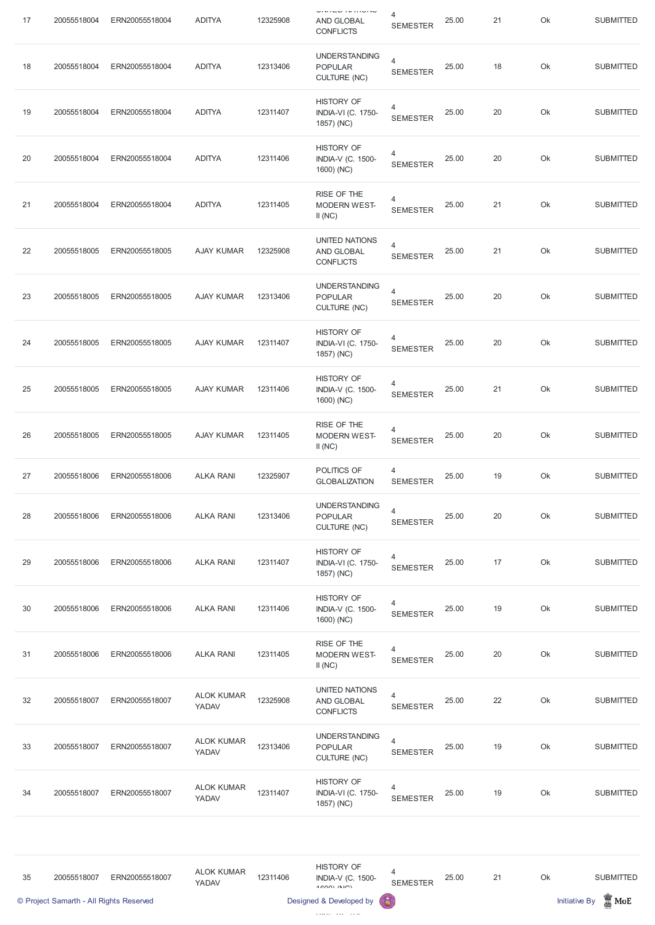| 17 | 20055518004                             | ERN20055518004 | <b>ADITYA</b>              | 12325908 | <b>ONION IN HONO</b><br><b>AND GLOBAL</b><br><b>CONFLICTS</b>  | 4<br><b>SEMESTER</b>                        | 25.00 | 21 | Ok | <b>SUBMITTED</b>                        |
|----|-----------------------------------------|----------------|----------------------------|----------|----------------------------------------------------------------|---------------------------------------------|-------|----|----|-----------------------------------------|
| 18 | 20055518004                             | ERN20055518004 | <b>ADITYA</b>              | 12313406 | <b>UNDERSTANDING</b><br><b>POPULAR</b><br><b>CULTURE (NC)</b>  | $\overline{4}$<br><b>SEMESTER</b>           | 25.00 | 18 | Ok | <b>SUBMITTED</b>                        |
| 19 | 20055518004                             | ERN20055518004 | <b>ADITYA</b>              | 12311407 | <b>HISTORY OF</b><br><b>INDIA-VI (C. 1750-</b><br>1857) (NC)   | $\overline{4}$<br><b>SEMESTER</b>           | 25.00 | 20 | Ok | <b>SUBMITTED</b>                        |
| 20 | 20055518004                             | ERN20055518004 | <b>ADITYA</b>              | 12311406 | <b>HISTORY OF</b><br><b>INDIA-V (C. 1500-</b><br>1600) (NC)    | $\overline{4}$<br><b>SEMESTER</b>           | 25.00 | 20 | Ok | <b>SUBMITTED</b>                        |
| 21 | 20055518004                             | ERN20055518004 | <b>ADITYA</b>              | 12311405 | RISE OF THE<br><b>MODERN WEST-</b><br>II(NC)                   | 4<br><b>SEMESTER</b>                        | 25.00 | 21 | Ok | <b>SUBMITTED</b>                        |
| 22 | 20055518005                             | ERN20055518005 | <b>AJAY KUMAR</b>          | 12325908 | UNITED NATIONS<br>AND GLOBAL<br><b>CONFLICTS</b>               | $\overline{4}$<br><b>SEMESTER</b>           | 25.00 | 21 | Ok | <b>SUBMITTED</b>                        |
| 23 | 20055518005                             | ERN20055518005 | <b>AJAY KUMAR</b>          | 12313406 | <b>UNDERSTANDING</b><br><b>POPULAR</b><br><b>CULTURE (NC)</b>  | $\overline{4}$<br><b>SEMESTER</b>           | 25.00 | 20 | Ok | <b>SUBMITTED</b>                        |
| 24 | 20055518005                             | ERN20055518005 | <b>AJAY KUMAR</b>          | 12311407 | <b>HISTORY OF</b><br><b>INDIA-VI (C. 1750-</b><br>1857) (NC)   | 4<br><b>SEMESTER</b>                        | 25.00 | 20 | Ok | <b>SUBMITTED</b>                        |
| 25 | 20055518005                             | ERN20055518005 | <b>AJAY KUMAR</b>          | 12311406 | <b>HISTORY OF</b><br><b>INDIA-V (C. 1500-</b><br>1600) (NC)    | 4<br><b>SEMESTER</b>                        | 25.00 | 21 | Ok | <b>SUBMITTED</b>                        |
| 26 | 20055518005                             | ERN20055518005 | <b>AJAY KUMAR</b>          | 12311405 | RISE OF THE<br><b>MODERN WEST-</b><br>II(NC)                   | 4<br><b>SEMESTER</b>                        | 25.00 | 20 | Ok | <b>SUBMITTED</b>                        |
| 27 | 20055518006                             | ERN20055518006 | <b>ALKA RANI</b>           | 12325907 | POLITICS OF<br><b>GLOBALIZATION</b>                            | 4<br><b>SEMESTER</b>                        | 25.00 | 19 | Ok | <b>SUBMITTED</b>                        |
| 28 | 20055518006                             | ERN20055518006 | <b>ALKA RANI</b>           | 12313406 | <b>UNDERSTANDING</b><br><b>POPULAR</b><br><b>CULTURE (NC)</b>  | $\overline{4}$<br><b>SEMESTER</b>           | 25.00 | 20 | Ok | <b>SUBMITTED</b>                        |
| 29 | 20055518006                             | ERN20055518006 | <b>ALKA RANI</b>           | 12311407 | <b>HISTORY OF</b><br><b>INDIA-VI (C. 1750-</b><br>1857) (NC)   | $\overline{4}$<br><b>SEMESTER</b>           | 25.00 | 17 | Ok | <b>SUBMITTED</b>                        |
| 30 | 20055518006                             | ERN20055518006 | <b>ALKA RANI</b>           | 12311406 | <b>HISTORY OF</b><br><b>INDIA-V (C. 1500-</b><br>1600) (NC)    | 4<br><b>SEMESTER</b>                        | 25.00 | 19 | Ok | <b>SUBMITTED</b>                        |
| 31 | 20055518006                             | ERN20055518006 | <b>ALKA RANI</b>           | 12311405 | RISE OF THE<br><b>MODERN WEST-</b><br>II(NC)                   | 4<br><b>SEMESTER</b>                        | 25.00 | 20 | Ok | <b>SUBMITTED</b>                        |
| 32 | 20055518007                             | ERN20055518007 | <b>ALOK KUMAR</b><br>YADAV | 12325908 | <b>UNITED NATIONS</b><br>AND GLOBAL<br><b>CONFLICTS</b>        | 4<br><b>SEMESTER</b>                        | 25.00 | 22 | Ok | <b>SUBMITTED</b>                        |
| 33 | 20055518007                             | ERN20055518007 | <b>ALOK KUMAR</b><br>YADAV | 12313406 | <b>UNDERSTANDING</b><br><b>POPULAR</b><br><b>CULTURE (NC)</b>  | $\overline{4}$<br><b>SEMESTER</b>           | 25.00 | 19 | Ok | <b>SUBMITTED</b>                        |
| 34 | 20055518007                             | ERN20055518007 | <b>ALOK KUMAR</b><br>YADAV | 12311407 | <b>HISTORY OF</b><br><b>INDIA-VI (C. 1750-</b><br>1857) (NC)   | 4<br><b>SEMESTER</b>                        | 25.00 | 19 | Ok | <b>SUBMITTED</b>                        |
|    |                                         |                |                            |          |                                                                |                                             |       |    |    |                                         |
| 35 | 20055518007                             | ERN20055518007 | <b>ALOK KUMAR</b><br>YADAV | 12311406 | <b>HISTORY OF</b><br><b>INDIA-V (C. 1500-</b><br>$4$ COOL (NO) | $\overline{\mathcal{A}}$<br><b>SEMESTER</b> | 25.00 | 21 | Ok | <b>SUBMITTED</b>                        |
|    | © Project Samarth - All Rights Reserved |                |                            |          | Designed & Developed by                                        | 偈                                           |       |    |    | $\mathbb Z$ MoE<br><b>Initiative By</b> |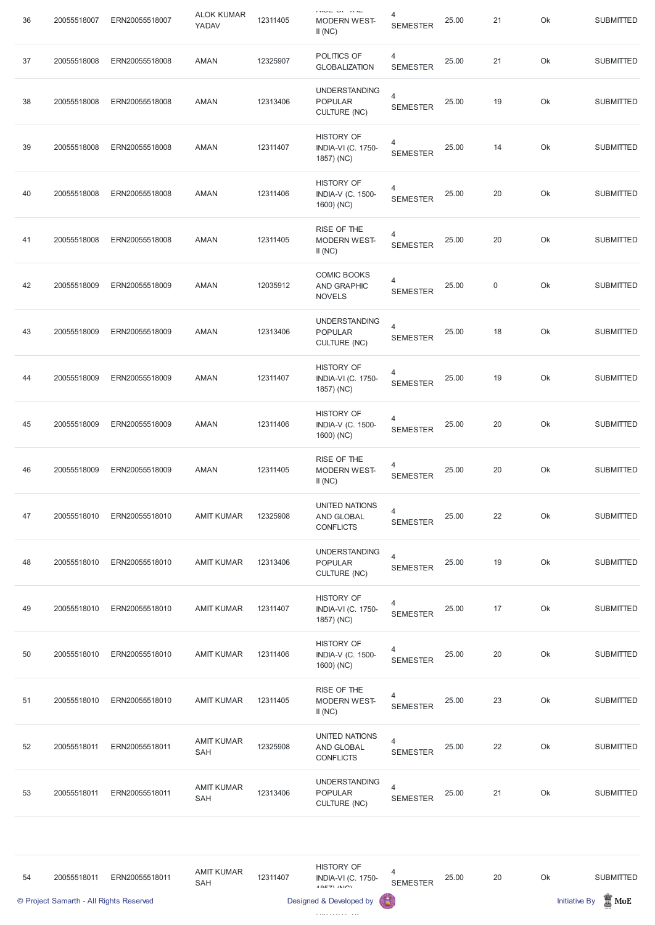| 36 | 20055518007                             | ERN20055518007 | <b>ALOK KUMAR</b><br>YADAV      | 12311405 | $150 - 10$<br><b>MODERN WEST-</b><br>II(NC)                      | 4<br><b>SEMESTER</b>              | 25.00 | 21          | Ok | <b>SUBMITTED</b>                         |
|----|-----------------------------------------|----------------|---------------------------------|----------|------------------------------------------------------------------|-----------------------------------|-------|-------------|----|------------------------------------------|
| 37 | 20055518008                             | ERN20055518008 | AMAN                            | 12325907 | POLITICS OF<br><b>GLOBALIZATION</b>                              | 4<br><b>SEMESTER</b>              | 25.00 | 21          | Ok | <b>SUBMITTED</b>                         |
| 38 | 20055518008                             | ERN20055518008 | <b>AMAN</b>                     | 12313406 | <b>UNDERSTANDING</b><br><b>POPULAR</b><br><b>CULTURE (NC)</b>    | $\overline{4}$<br><b>SEMESTER</b> | 25.00 | 19          | Ok | <b>SUBMITTED</b>                         |
| 39 | 20055518008                             | ERN20055518008 | AMAN                            | 12311407 | <b>HISTORY OF</b><br><b>INDIA-VI (C. 1750-</b><br>1857) (NC)     | 4<br><b>SEMESTER</b>              | 25.00 | 14          | Ok | <b>SUBMITTED</b>                         |
| 40 | 20055518008                             | ERN20055518008 | <b>AMAN</b>                     | 12311406 | <b>HISTORY OF</b><br><b>INDIA-V (C. 1500-</b><br>1600) (NC)      | 4<br><b>SEMESTER</b>              | 25.00 | 20          | Ok | <b>SUBMITTED</b>                         |
| 41 | 20055518008                             | ERN20055518008 | <b>AMAN</b>                     | 12311405 | RISE OF THE<br><b>MODERN WEST-</b><br>II(NC)                     | 4<br><b>SEMESTER</b>              | 25.00 | 20          | Ok | <b>SUBMITTED</b>                         |
| 42 | 20055518009                             | ERN20055518009 | AMAN                            | 12035912 | COMIC BOOKS<br><b>AND GRAPHIC</b><br><b>NOVELS</b>               | 4<br><b>SEMESTER</b>              | 25.00 | $\mathbf 0$ | Ok | <b>SUBMITTED</b>                         |
| 43 | 20055518009                             | ERN20055518009 | AMAN                            | 12313406 | <b>UNDERSTANDING</b><br><b>POPULAR</b><br><b>CULTURE (NC)</b>    | $\overline{4}$<br><b>SEMESTER</b> | 25.00 | 18          | Ok | <b>SUBMITTED</b>                         |
| 44 | 20055518009                             | ERN20055518009 | <b>AMAN</b>                     | 12311407 | <b>HISTORY OF</b><br><b>INDIA-VI (C. 1750-</b><br>1857) (NC)     | 4<br><b>SEMESTER</b>              | 25.00 | 19          | Ok | <b>SUBMITTED</b>                         |
| 45 | 20055518009                             | ERN20055518009 | AMAN                            | 12311406 | <b>HISTORY OF</b><br><b>INDIA-V (C. 1500-</b><br>1600) (NC)      | 4<br><b>SEMESTER</b>              | 25.00 | 20          | Ok | <b>SUBMITTED</b>                         |
| 46 | 20055518009                             | ERN20055518009 | <b>AMAN</b>                     | 12311405 | RISE OF THE<br><b>MODERN WEST-</b><br>II(NC)                     | 4<br><b>SEMESTER</b>              | 25.00 | 20          | Ok | <b>SUBMITTED</b>                         |
| 47 | 20055518010                             | ERN20055518010 | <b>AMIT KUMAR</b>               | 12325908 | UNITED NATIONS<br>AND GLOBAL<br><b>CONFLICTS</b>                 | $\overline{4}$<br><b>SEMESTER</b> | 25.00 | 22          | Ok | <b>SUBMITTED</b>                         |
| 48 | 20055518010                             | ERN20055518010 | <b>AMIT KUMAR</b>               | 12313406 | <b>UNDERSTANDING</b><br><b>POPULAR</b><br><b>CULTURE (NC)</b>    | $\overline{4}$<br><b>SEMESTER</b> | 25.00 | 19          | Ok | <b>SUBMITTED</b>                         |
| 49 | 20055518010                             | ERN20055518010 | <b>AMIT KUMAR</b>               | 12311407 | <b>HISTORY OF</b><br><b>INDIA-VI (C. 1750-</b><br>1857) (NC)     | 4<br><b>SEMESTER</b>              | 25.00 | 17          | Ok | <b>SUBMITTED</b>                         |
| 50 | 20055518010                             | ERN20055518010 | <b>AMIT KUMAR</b>               | 12311406 | <b>HISTORY OF</b><br><b>INDIA-V (C. 1500-</b><br>1600) (NC)      | 4<br><b>SEMESTER</b>              | 25.00 | 20          | Ok | <b>SUBMITTED</b>                         |
| 51 | 20055518010                             | ERN20055518010 | <b>AMIT KUMAR</b>               | 12311405 | RISE OF THE<br><b>MODERN WEST-</b><br>II(NC)                     | 4<br><b>SEMESTER</b>              | 25.00 | 23          | Ok | <b>SUBMITTED</b>                         |
| 52 | 20055518011                             | ERN20055518011 | <b>AMIT KUMAR</b><br><b>SAH</b> | 12325908 | <b>UNITED NATIONS</b><br>AND GLOBAL<br><b>CONFLICTS</b>          | $\overline{4}$<br><b>SEMESTER</b> | 25.00 | 22          | Ok | <b>SUBMITTED</b>                         |
| 53 | 20055518011                             | ERN20055518011 | <b>AMIT KUMAR</b><br>SAH        | 12313406 | <b>UNDERSTANDING</b><br><b>POPULAR</b><br><b>CULTURE (NC)</b>    | $\overline{4}$<br><b>SEMESTER</b> | 25.00 | 21          | Ok | <b>SUBMITTED</b>                         |
|    |                                         |                |                                 |          |                                                                  |                                   |       |             |    |                                          |
| 54 | 20055518011                             | ERN20055518011 | <b>AMIT KUMAR</b><br><b>SAH</b> | 12311407 | <b>HISTORY OF</b><br><b>INDIA-VI (C. 1750-</b><br>$40E7$ $(N10)$ | 4<br><b>SEMESTER</b>              | 25.00 | 20          | Ok | <b>SUBMITTED</b>                         |
|    | © Project Samarth - All Rights Reserved |                |                                 |          | Designed & Developed by                                          |                                   |       |             |    | $\mathbb{Z}$ MoE<br><b>Initiative By</b> |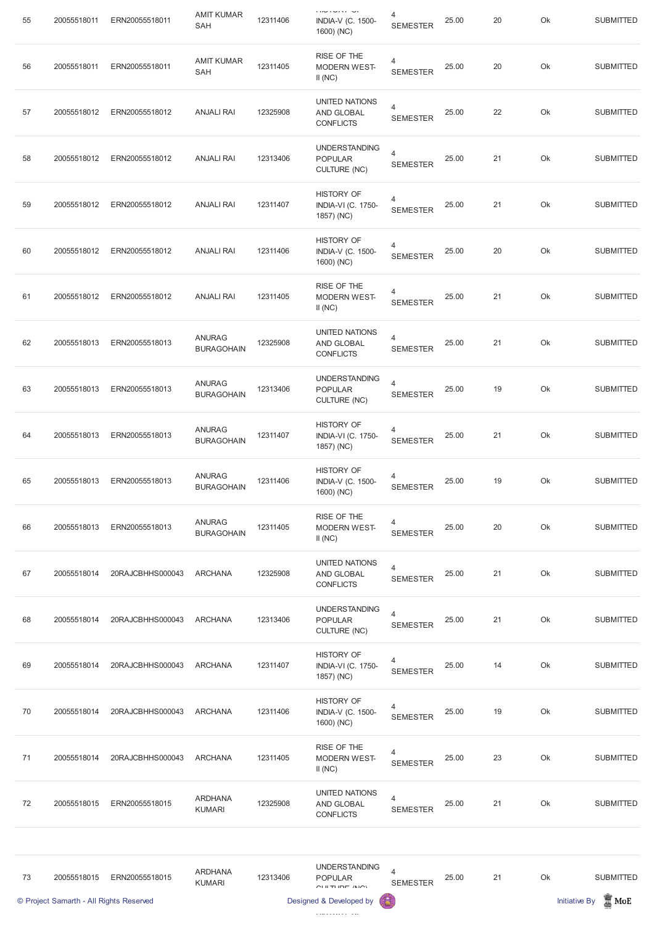| 55 | 20055518011                             | ERN20055518011   | <b>AMIT KUMAR</b><br><b>SAH</b>    | 12311406 | <b>INVISION OF</b><br><b>INDIA-V (C. 1500-</b><br>1600) (NC)       | 4<br><b>SEMESTER</b>              | 25.00 | 20 | Ok | <b>SUBMITTED</b>                        |
|----|-----------------------------------------|------------------|------------------------------------|----------|--------------------------------------------------------------------|-----------------------------------|-------|----|----|-----------------------------------------|
| 56 | 20055518011                             | ERN20055518011   | <b>AMIT KUMAR</b><br><b>SAH</b>    | 12311405 | RISE OF THE<br><b>MODERN WEST-</b><br>II(NC)                       | $\overline{4}$<br><b>SEMESTER</b> | 25.00 | 20 | Ok | <b>SUBMITTED</b>                        |
| 57 | 20055518012                             | ERN20055518012   | <b>ANJALI RAI</b>                  | 12325908 | UNITED NATIONS<br>AND GLOBAL<br><b>CONFLICTS</b>                   | $\overline{4}$<br><b>SEMESTER</b> | 25.00 | 22 | Ok | <b>SUBMITTED</b>                        |
| 58 | 20055518012                             | ERN20055518012   | <b>ANJALI RAI</b>                  | 12313406 | <b>UNDERSTANDING</b><br><b>POPULAR</b><br><b>CULTURE (NC)</b>      | $\overline{4}$<br><b>SEMESTER</b> | 25.00 | 21 | Ok | <b>SUBMITTED</b>                        |
| 59 | 20055518012                             | ERN20055518012   | <b>ANJALI RAI</b>                  | 12311407 | <b>HISTORY OF</b><br><b>INDIA-VI (C. 1750-</b><br>1857) (NC)       | 4<br><b>SEMESTER</b>              | 25.00 | 21 | Ok | <b>SUBMITTED</b>                        |
| 60 | 20055518012                             | ERN20055518012   | <b>ANJALI RAI</b>                  | 12311406 | <b>HISTORY OF</b><br><b>INDIA-V (C. 1500-</b><br>1600) (NC)        | 4<br><b>SEMESTER</b>              | 25.00 | 20 | Ok | <b>SUBMITTED</b>                        |
| 61 | 20055518012                             | ERN20055518012   | <b>ANJALI RAI</b>                  | 12311405 | RISE OF THE<br><b>MODERN WEST-</b><br>II(NC)                       | 4<br><b>SEMESTER</b>              | 25.00 | 21 | Ok | <b>SUBMITTED</b>                        |
| 62 | 20055518013                             | ERN20055518013   | <b>ANURAG</b><br><b>BURAGOHAIN</b> | 12325908 | UNITED NATIONS<br><b>AND GLOBAL</b><br><b>CONFLICTS</b>            | $\overline{4}$<br><b>SEMESTER</b> | 25.00 | 21 | Ok | <b>SUBMITTED</b>                        |
| 63 | 20055518013                             | ERN20055518013   | <b>ANURAG</b><br><b>BURAGOHAIN</b> | 12313406 | <b>UNDERSTANDING</b><br><b>POPULAR</b><br><b>CULTURE (NC)</b>      | $\overline{4}$<br><b>SEMESTER</b> | 25.00 | 19 | Ok | <b>SUBMITTED</b>                        |
| 64 | 20055518013                             | ERN20055518013   | <b>ANURAG</b><br><b>BURAGOHAIN</b> | 12311407 | <b>HISTORY OF</b><br><b>INDIA-VI (C. 1750-</b><br>1857) (NC)       | 4<br><b>SEMESTER</b>              | 25.00 | 21 | Ok | <b>SUBMITTED</b>                        |
| 65 | 20055518013                             | ERN20055518013   | <b>ANURAG</b><br><b>BURAGOHAIN</b> | 12311406 | <b>HISTORY OF</b><br><b>INDIA-V (C. 1500-</b><br>1600) (NC)        | $\overline{4}$<br><b>SEMESTER</b> | 25.00 | 19 | Ok | <b>SUBMITTED</b>                        |
| 66 | 20055518013                             | ERN20055518013   | <b>ANURAG</b><br><b>BURAGOHAIN</b> | 12311405 | RISE OF THE<br><b>MODERN WEST-</b><br>II(NC)                       | $\overline{4}$<br><b>SEMESTER</b> | 25.00 | 20 | Ok | <b>SUBMITTED</b>                        |
| 67 | 20055518014                             | 20RAJCBHHS000043 | <b>ARCHANA</b>                     | 12325908 | UNITED NATIONS<br>AND GLOBAL<br><b>CONFLICTS</b>                   | $\overline{4}$<br><b>SEMESTER</b> | 25.00 | 21 | Ok | <b>SUBMITTED</b>                        |
| 68 | 20055518014                             | 20RAJCBHHS000043 | <b>ARCHANA</b>                     | 12313406 | <b>UNDERSTANDING</b><br><b>POPULAR</b><br><b>CULTURE (NC)</b>      | $\overline{4}$<br><b>SEMESTER</b> | 25.00 | 21 | Ok | <b>SUBMITTED</b>                        |
| 69 | 20055518014                             | 20RAJCBHHS000043 | <b>ARCHANA</b>                     | 12311407 | <b>HISTORY OF</b><br><b>INDIA-VI (C. 1750-</b><br>1857) (NC)       | 4<br><b>SEMESTER</b>              | 25.00 | 14 | Ok | <b>SUBMITTED</b>                        |
| 70 | 20055518014                             | 20RAJCBHHS000043 | <b>ARCHANA</b>                     | 12311406 | <b>HISTORY OF</b><br><b>INDIA-V (C. 1500-</b><br>1600) (NC)        | $\overline{4}$<br><b>SEMESTER</b> | 25.00 | 19 | Ok | <b>SUBMITTED</b>                        |
| 71 | 20055518014                             | 20RAJCBHHS000043 | <b>ARCHANA</b>                     | 12311405 | RISE OF THE<br><b>MODERN WEST-</b><br>II(NC)                       | 4<br><b>SEMESTER</b>              | 25.00 | 23 | Ok | <b>SUBMITTED</b>                        |
| 72 | 20055518015                             | ERN20055518015   | <b>ARDHANA</b><br><b>KUMARI</b>    | 12325908 | <b>UNITED NATIONS</b><br>AND GLOBAL<br><b>CONFLICTS</b>            | 4<br><b>SEMESTER</b>              | 25.00 | 21 | Ok | <b>SUBMITTED</b>                        |
|    |                                         |                  |                                    |          |                                                                    |                                   |       |    |    |                                         |
| 73 | 20055518015                             | ERN20055518015   | <b>ARDHANA</b><br><b>KUMARI</b>    | 12313406 | <b>UNDERSTANDING</b><br><b>POPULAR</b><br>$C[111]$ TI IDE $/ N(C)$ | 4<br><b>SEMESTER</b>              | 25.00 | 21 | Ok | <b>SUBMITTED</b>                        |
|    | © Project Samarth - All Rights Reserved |                  |                                    |          | Designed & Developed by                                            |                                   |       |    |    | $\mathbb Z$ MoE<br><b>Initiative By</b> |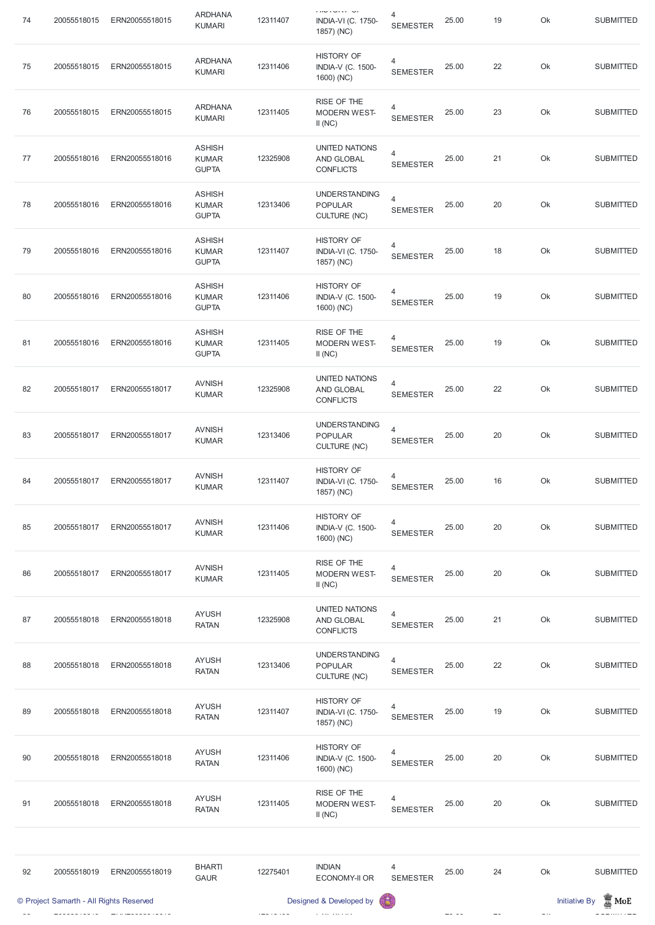| 74 | 20055518015                             | ERN20055518015 | <b>ARDHANA</b><br><b>KUMARI</b>               | 12311407 | <b>CONTRACTOR</b><br><b>INDIA-VI (C. 1750-</b><br>1857) (NC)  | 4<br><b>SEMESTER</b>              | 25.00 | 19     | Ok | <b>SUBMITTED</b>                        |
|----|-----------------------------------------|----------------|-----------------------------------------------|----------|---------------------------------------------------------------|-----------------------------------|-------|--------|----|-----------------------------------------|
| 75 | 20055518015                             | ERN20055518015 | <b>ARDHANA</b><br><b>KUMARI</b>               | 12311406 | <b>HISTORY OF</b><br><b>INDIA-V (C. 1500-</b><br>1600) (NC)   | $\overline{4}$<br><b>SEMESTER</b> | 25.00 | 22     | Ok | <b>SUBMITTED</b>                        |
| 76 | 20055518015                             | ERN20055518015 | <b>ARDHANA</b><br><b>KUMARI</b>               | 12311405 | RISE OF THE<br><b>MODERN WEST-</b><br>II(NC)                  | 4<br><b>SEMESTER</b>              | 25.00 | 23     | Ok | <b>SUBMITTED</b>                        |
| 77 | 20055518016                             | ERN20055518016 | <b>ASHISH</b><br><b>KUMAR</b><br><b>GUPTA</b> | 12325908 | <b>UNITED NATIONS</b><br>AND GLOBAL<br><b>CONFLICTS</b>       | 4<br><b>SEMESTER</b>              | 25.00 | 21     | Ok | <b>SUBMITTED</b>                        |
| 78 | 20055518016                             | ERN20055518016 | <b>ASHISH</b><br><b>KUMAR</b><br><b>GUPTA</b> | 12313406 | <b>UNDERSTANDING</b><br><b>POPULAR</b><br><b>CULTURE (NC)</b> | $\overline{4}$<br><b>SEMESTER</b> | 25.00 | 20     | Ok | <b>SUBMITTED</b>                        |
| 79 | 20055518016                             | ERN20055518016 | <b>ASHISH</b><br><b>KUMAR</b><br><b>GUPTA</b> | 12311407 | <b>HISTORY OF</b><br><b>INDIA-VI (C. 1750-</b><br>1857) (NC)  | 4<br><b>SEMESTER</b>              | 25.00 | 18     | Ok | <b>SUBMITTED</b>                        |
| 80 | 20055518016                             | ERN20055518016 | <b>ASHISH</b><br><b>KUMAR</b><br><b>GUPTA</b> | 12311406 | <b>HISTORY OF</b><br><b>INDIA-V (C. 1500-</b><br>1600) (NC)   | 4<br><b>SEMESTER</b>              | 25.00 | 19     | Ok | <b>SUBMITTED</b>                        |
| 81 | 20055518016                             | ERN20055518016 | <b>ASHISH</b><br><b>KUMAR</b><br><b>GUPTA</b> | 12311405 | RISE OF THE<br><b>MODERN WEST-</b><br>II(NC)                  | 4<br><b>SEMESTER</b>              | 25.00 | 19     | Ok | <b>SUBMITTED</b>                        |
| 82 | 20055518017                             | ERN20055518017 | <b>AVNISH</b><br><b>KUMAR</b>                 | 12325908 | UNITED NATIONS<br>AND GLOBAL<br><b>CONFLICTS</b>              | $\overline{4}$<br><b>SEMESTER</b> | 25.00 | 22     | Ok | <b>SUBMITTED</b>                        |
| 83 | 20055518017                             | ERN20055518017 | <b>AVNISH</b><br><b>KUMAR</b>                 | 12313406 | <b>UNDERSTANDING</b><br><b>POPULAR</b><br><b>CULTURE (NC)</b> | $\overline{4}$<br><b>SEMESTER</b> | 25.00 | 20     | Ok | <b>SUBMITTED</b>                        |
| 84 | 20055518017                             | ERN20055518017 | <b>AVNISH</b><br><b>KUMAR</b>                 | 12311407 | <b>HISTORY OF</b><br><b>INDIA-VI (C. 1750-</b><br>1857) (NC)  | $\overline{4}$<br><b>SEMESTER</b> | 25.00 | 16     | Ok | <b>SUBMITTED</b>                        |
| 85 | 20055518017                             | ERN20055518017 | <b>AVNISH</b><br><b>KUMAR</b>                 | 12311406 | <b>HISTORY OF</b><br><b>INDIA-V (C. 1500-</b><br>1600) (NC)   | $\overline{4}$<br><b>SEMESTER</b> | 25.00 | $20\,$ | Ok | <b>SUBMITTED</b>                        |
| 86 | 20055518017                             | ERN20055518017 | <b>AVNISH</b><br><b>KUMAR</b>                 | 12311405 | RISE OF THE<br><b>MODERN WEST-</b><br>II(NC)                  | 4<br><b>SEMESTER</b>              | 25.00 | 20     | Ok | <b>SUBMITTED</b>                        |
| 87 | 20055518018                             | ERN20055518018 | <b>AYUSH</b><br><b>RATAN</b>                  | 12325908 | <b>UNITED NATIONS</b><br>AND GLOBAL<br><b>CONFLICTS</b>       | 4<br><b>SEMESTER</b>              | 25.00 | 21     | Ok | <b>SUBMITTED</b>                        |
| 88 | 20055518018                             | ERN20055518018 | <b>AYUSH</b><br><b>RATAN</b>                  | 12313406 | <b>UNDERSTANDING</b><br><b>POPULAR</b><br><b>CULTURE (NC)</b> | $\overline{4}$<br><b>SEMESTER</b> | 25.00 | 22     | Ok | <b>SUBMITTED</b>                        |
| 89 | 20055518018                             | ERN20055518018 | <b>AYUSH</b><br><b>RATAN</b>                  | 12311407 | <b>HISTORY OF</b><br><b>INDIA-VI (C. 1750-</b><br>1857) (NC)  | $\overline{4}$<br><b>SEMESTER</b> | 25.00 | 19     | Ok | <b>SUBMITTED</b>                        |
| 90 | 20055518018                             | ERN20055518018 | <b>AYUSH</b><br><b>RATAN</b>                  | 12311406 | <b>HISTORY OF</b><br><b>INDIA-V (C. 1500-</b><br>1600) (NC)   | 4<br><b>SEMESTER</b>              | 25.00 | 20     | Ok | <b>SUBMITTED</b>                        |
| 91 | 20055518018                             | ERN20055518018 | <b>AYUSH</b><br><b>RATAN</b>                  | 12311405 | RISE OF THE<br><b>MODERN WEST-</b><br>II(NC)                  | 4<br><b>SEMESTER</b>              | 25.00 | 20     | Ok | <b>SUBMITTED</b>                        |
|    |                                         |                |                                               |          |                                                               |                                   |       |        |    |                                         |
| 92 | 20055518019                             | ERN20055518019 | <b>BHARTI</b><br><b>GAUR</b>                  | 12275401 | <b>INDIAN</b><br><b>ECONOMY-II OR</b>                         | 4<br><b>SEMESTER</b>              | 25.00 | 24     | Ok | <b>SUBMITTED</b>                        |
|    | © Project Samarth - All Rights Reserved |                |                                               |          | Designed & Developed by                                       | G                                 |       |        |    | $\mathbb Z$ MoE<br><b>Initiative By</b> |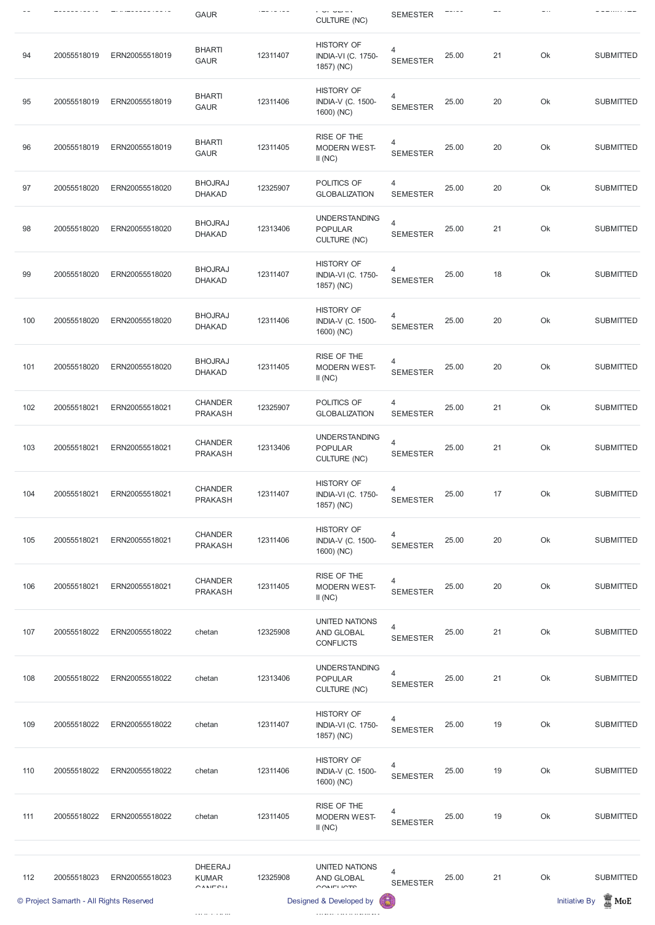|     |             |                | <b>GAUR</b>                      | .        | י ישראי<br><b>CULTURE (NC)</b>                                | <b>SEMESTER</b>                   |       |    |    | ---------        |
|-----|-------------|----------------|----------------------------------|----------|---------------------------------------------------------------|-----------------------------------|-------|----|----|------------------|
| 94  | 20055518019 | ERN20055518019 | <b>BHARTI</b><br><b>GAUR</b>     | 12311407 | <b>HISTORY OF</b><br><b>INDIA-VI (C. 1750-</b><br>1857) (NC)  | 4<br><b>SEMESTER</b>              | 25.00 | 21 | Ok | <b>SUBMITTED</b> |
| 95  | 20055518019 | ERN20055518019 | <b>BHARTI</b><br><b>GAUR</b>     | 12311406 | <b>HISTORY OF</b><br><b>INDIA-V (C. 1500-</b><br>1600) (NC)   | 4<br><b>SEMESTER</b>              | 25.00 | 20 | Ok | <b>SUBMITTED</b> |
| 96  | 20055518019 | ERN20055518019 | <b>BHARTI</b><br><b>GAUR</b>     | 12311405 | RISE OF THE<br><b>MODERN WEST-</b><br>II(NC)                  | 4<br><b>SEMESTER</b>              | 25.00 | 20 | Ok | <b>SUBMITTED</b> |
| 97  | 20055518020 | ERN20055518020 | <b>BHOJRAJ</b><br><b>DHAKAD</b>  | 12325907 | POLITICS OF<br><b>GLOBALIZATION</b>                           | 4<br><b>SEMESTER</b>              | 25.00 | 20 | Ok | <b>SUBMITTED</b> |
| 98  | 20055518020 | ERN20055518020 | <b>BHOJRAJ</b><br><b>DHAKAD</b>  | 12313406 | <b>UNDERSTANDING</b><br><b>POPULAR</b><br><b>CULTURE (NC)</b> | $\overline{4}$<br><b>SEMESTER</b> | 25.00 | 21 | Ok | <b>SUBMITTED</b> |
| 99  | 20055518020 | ERN20055518020 | <b>BHOJRAJ</b><br><b>DHAKAD</b>  | 12311407 | <b>HISTORY OF</b><br><b>INDIA-VI (C. 1750-</b><br>1857) (NC)  | 4<br><b>SEMESTER</b>              | 25.00 | 18 | Ok | <b>SUBMITTED</b> |
| 100 | 20055518020 | ERN20055518020 | <b>BHOJRAJ</b><br><b>DHAKAD</b>  | 12311406 | <b>HISTORY OF</b><br><b>INDIA-V (C. 1500-</b><br>1600) (NC)   | 4<br><b>SEMESTER</b>              | 25.00 | 20 | Ok | <b>SUBMITTED</b> |
| 101 | 20055518020 | ERN20055518020 | <b>BHOJRAJ</b><br><b>DHAKAD</b>  | 12311405 | RISE OF THE<br><b>MODERN WEST-</b><br>II(NC)                  | 4<br><b>SEMESTER</b>              | 25.00 | 20 | Ok | <b>SUBMITTED</b> |
| 102 | 20055518021 | ERN20055518021 | <b>CHANDER</b><br><b>PRAKASH</b> | 12325907 | POLITICS OF<br><b>GLOBALIZATION</b>                           | 4<br><b>SEMESTER</b>              | 25.00 | 21 | Ok | <b>SUBMITTED</b> |
| 103 | 20055518021 | ERN20055518021 | <b>CHANDER</b><br><b>PRAKASH</b> | 12313406 | <b>UNDERSTANDING</b><br><b>POPULAR</b><br><b>CULTURE (NC)</b> | 4<br><b>SEMESTER</b>              | 25.00 | 21 | Ok | <b>SUBMITTED</b> |
| 104 | 20055518021 | ERN20055518021 | <b>CHANDER</b><br><b>PRAKASH</b> | 12311407 | <b>HISTORY OF</b><br>INDIA-VI (C. 1750-<br>1857) (NC)         | 4<br><b>SEMESTER</b>              | 25.00 | 17 | Ok | <b>SUBMITTED</b> |
| 105 | 20055518021 | ERN20055518021 | <b>CHANDER</b><br><b>PRAKASH</b> | 12311406 | <b>HISTORY OF</b><br>INDIA-V (C. 1500-<br>1600) (NC)          | 4<br><b>SEMESTER</b>              | 25.00 | 20 | Ok | <b>SUBMITTED</b> |
| 106 | 20055518021 | ERN20055518021 | <b>CHANDER</b><br><b>PRAKASH</b> | 12311405 | RISE OF THE<br><b>MODERN WEST-</b><br>II(NC)                  | 4<br><b>SEMESTER</b>              | 25.00 | 20 | Ok | <b>SUBMITTED</b> |
| 107 | 20055518022 | ERN20055518022 | chetan                           | 12325908 | <b>UNITED NATIONS</b><br>AND GLOBAL<br><b>CONFLICTS</b>       | 4<br><b>SEMESTER</b>              | 25.00 | 21 | Ok | <b>SUBMITTED</b> |
| 108 | 20055518022 | ERN20055518022 | chetan                           | 12313406 | <b>UNDERSTANDING</b><br><b>POPULAR</b><br><b>CULTURE (NC)</b> | 4<br><b>SEMESTER</b>              | 25.00 | 21 | Ok | <b>SUBMITTED</b> |

|     | © Project Samarth - All Rights Reserved |                |                                               |          | Designed & Developed by                                      | $\left( 5\right)$    |       |    | <b>Initiative By</b> | $\blacksquare$ MoE |
|-----|-----------------------------------------|----------------|-----------------------------------------------|----------|--------------------------------------------------------------|----------------------|-------|----|----------------------|--------------------|
| 112 | 20055518023                             | ERN20055518023 | <b>DHEERAJ</b><br><b>KUMAR</b><br>$C$ ANIECLI | 12325908 | <b>UNITED NATIONS</b><br>AND GLOBAL<br>COMELICTO             | 4<br><b>SEMESTER</b> | 25.00 | 21 | Ok                   | <b>SUBMITTED</b>   |
| 111 | 20055518022                             | ERN20055518022 | chetan                                        | 12311405 | RISE OF THE<br><b>MODERN WEST-</b><br>II(NC)                 | 4<br><b>SEMESTER</b> | 25.00 | 19 | Ok                   | <b>SUBMITTED</b>   |
| 110 | 20055518022                             | ERN20055518022 | chetan                                        | 12311406 | <b>HISTORY OF</b><br><b>INDIA-V (C. 1500-</b><br>1600) (NC)  | 4<br><b>SEMESTER</b> | 25.00 | 19 | Ok                   | <b>SUBMITTED</b>   |
| 109 | 20055518022                             | ERN20055518022 | chetan                                        | 12311407 | <b>HISTORY OF</b><br><b>INDIA-VI (C. 1750-</b><br>1857) (NC) | 4<br><b>SEMESTER</b> | 25.00 | 19 | Ok                   | <b>SUBMITTED</b>   |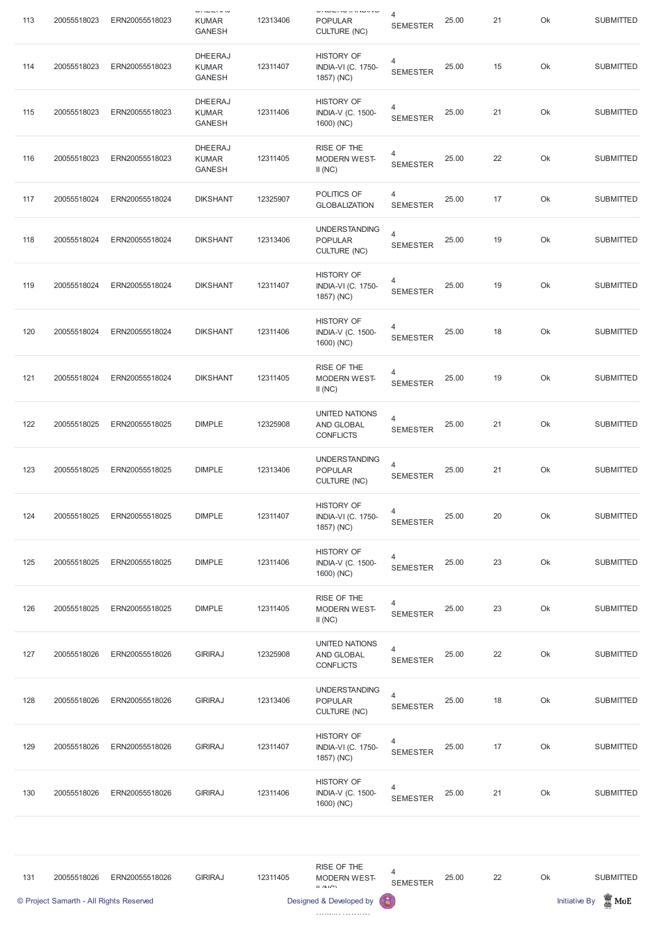| 113 | 20055518023                             | ERN20055518023 | $-11 - 11$<br><b>KUMAR</b><br><b>GANESH</b>     | 12313406 | <b>ONDER A BRITISH</b><br><b>POPULAR</b><br><b>CULTURE (NC)</b> | 4<br><b>SEMESTER</b>              | 25.00 | 21 | Ok | <b>SUBMITTED</b>                           |
|-----|-----------------------------------------|----------------|-------------------------------------------------|----------|-----------------------------------------------------------------|-----------------------------------|-------|----|----|--------------------------------------------|
| 114 | 20055518023                             | ERN20055518023 | <b>DHEERAJ</b><br><b>KUMAR</b><br><b>GANESH</b> | 12311407 | <b>HISTORY OF</b><br><b>INDIA-VI (C. 1750-</b><br>1857) (NC)    | $\overline{4}$<br><b>SEMESTER</b> | 25.00 | 15 | Ok | <b>SUBMITTED</b>                           |
| 115 | 20055518023                             | ERN20055518023 | <b>DHEERAJ</b><br><b>KUMAR</b><br><b>GANESH</b> | 12311406 | <b>HISTORY OF</b><br><b>INDIA-V (C. 1500-</b><br>1600) (NC)     | 4<br><b>SEMESTER</b>              | 25.00 | 21 | Ok | <b>SUBMITTED</b>                           |
| 116 | 20055518023                             | ERN20055518023 | <b>DHEERAJ</b><br><b>KUMAR</b><br><b>GANESH</b> | 12311405 | RISE OF THE<br><b>MODERN WEST-</b><br>II(NC)                    | $\overline{4}$<br><b>SEMESTER</b> | 25.00 | 22 | Ok | <b>SUBMITTED</b>                           |
| 117 | 20055518024                             | ERN20055518024 | <b>DIKSHANT</b>                                 | 12325907 | POLITICS OF<br><b>GLOBALIZATION</b>                             | 4<br><b>SEMESTER</b>              | 25.00 | 17 | Ok | <b>SUBMITTED</b>                           |
| 118 | 20055518024                             | ERN20055518024 | <b>DIKSHANT</b>                                 | 12313406 | <b>UNDERSTANDING</b><br><b>POPULAR</b><br><b>CULTURE (NC)</b>   | $\overline{4}$<br><b>SEMESTER</b> | 25.00 | 19 | Ok | <b>SUBMITTED</b>                           |
| 119 | 20055518024                             | ERN20055518024 | <b>DIKSHANT</b>                                 | 12311407 | <b>HISTORY OF</b><br><b>INDIA-VI (C. 1750-</b><br>1857) (NC)    | 4<br><b>SEMESTER</b>              | 25.00 | 19 | Ok | <b>SUBMITTED</b>                           |
| 120 | 20055518024                             | ERN20055518024 | <b>DIKSHANT</b>                                 | 12311406 | <b>HISTORY OF</b><br>INDIA-V (C. 1500-<br>1600) (NC)            | 4<br><b>SEMESTER</b>              | 25.00 | 18 | Ok | <b>SUBMITTED</b>                           |
| 121 | 20055518024                             | ERN20055518024 | <b>DIKSHANT</b>                                 | 12311405 | RISE OF THE<br><b>MODERN WEST-</b><br>II(NC)                    | $\overline{4}$<br><b>SEMESTER</b> | 25.00 | 19 | Ok | <b>SUBMITTED</b>                           |
| 122 | 20055518025                             | ERN20055518025 | <b>DIMPLE</b>                                   | 12325908 | UNITED NATIONS<br>AND GLOBAL<br><b>CONFLICTS</b>                | $\overline{4}$<br><b>SEMESTER</b> | 25.00 | 21 | Ok | <b>SUBMITTED</b>                           |
| 123 | 20055518025                             | ERN20055518025 | <b>DIMPLE</b>                                   | 12313406 | <b>UNDERSTANDING</b><br><b>POPULAR</b><br><b>CULTURE (NC)</b>   | $\overline{4}$<br><b>SEMESTER</b> | 25.00 | 21 | Ok | <b>SUBMITTED</b>                           |
| 124 | 20055518025                             | ERN20055518025 | <b>DIMPLE</b>                                   | 12311407 | <b>HISTORY OF</b><br><b>INDIA-VI (C. 1750-</b><br>1857) (NC)    | 4<br><b>SEMESTER</b>              | 25.00 | 20 | Ok | <b>SUBMITTED</b>                           |
| 125 | 20055518025                             | ERN20055518025 | <b>DIMPLE</b>                                   | 12311406 | <b>HISTORY OF</b><br><b>INDIA-V (C. 1500-</b><br>1600) (NC)     | $\overline{4}$<br><b>SEMESTER</b> | 25.00 | 23 | Ok | <b>SUBMITTED</b>                           |
| 126 | 20055518025                             | ERN20055518025 | <b>DIMPLE</b>                                   | 12311405 | RISE OF THE<br><b>MODERN WEST-</b><br>II(NC)                    | 4<br><b>SEMESTER</b>              | 25.00 | 23 | Ok | <b>SUBMITTED</b>                           |
| 127 | 20055518026                             | ERN20055518026 | <b>GIRIRAJ</b>                                  | 12325908 | <b>UNITED NATIONS</b><br>AND GLOBAL<br><b>CONFLICTS</b>         | $\overline{4}$<br><b>SEMESTER</b> | 25.00 | 22 | Ok | <b>SUBMITTED</b>                           |
| 128 | 20055518026                             | ERN20055518026 | <b>GIRIRAJ</b>                                  | 12313406 | <b>UNDERSTANDING</b><br><b>POPULAR</b><br><b>CULTURE (NC)</b>   | 4<br><b>SEMESTER</b>              | 25.00 | 18 | Ok | <b>SUBMITTED</b>                           |
| 129 | 20055518026                             | ERN20055518026 | <b>GIRIRAJ</b>                                  | 12311407 | <b>HISTORY OF</b><br><b>INDIA-VI (C. 1750-</b><br>1857) (NC)    | $\overline{4}$<br><b>SEMESTER</b> | 25.00 | 17 | Ok | <b>SUBMITTED</b>                           |
| 130 | 20055518026                             | ERN20055518026 | <b>GIRIRAJ</b>                                  | 12311406 | <b>HISTORY OF</b><br><b>INDIA-V (C. 1500-</b><br>1600) (NC)     | 4<br><b>SEMESTER</b>              | 25.00 | 21 | Ok | <b>SUBMITTED</b>                           |
|     |                                         |                |                                                 |          |                                                                 |                                   |       |    |    |                                            |
| 131 | 20055518026                             | ERN20055518026 | <b>GIRIRAJ</b>                                  | 12311405 | RISE OF THE<br><b>MODERN WEST-</b><br>$II$ /NIC)                | $\overline{4}$<br><b>SEMESTER</b> | 25.00 | 22 | Ok | <b>SUBMITTED</b>                           |
|     | © Project Samarth - All Rights Reserved |                |                                                 |          | Designed & Developed by                                         | 6                                 |       |    |    | $\frac{1}{20}$ MoE<br><b>Initiative By</b> |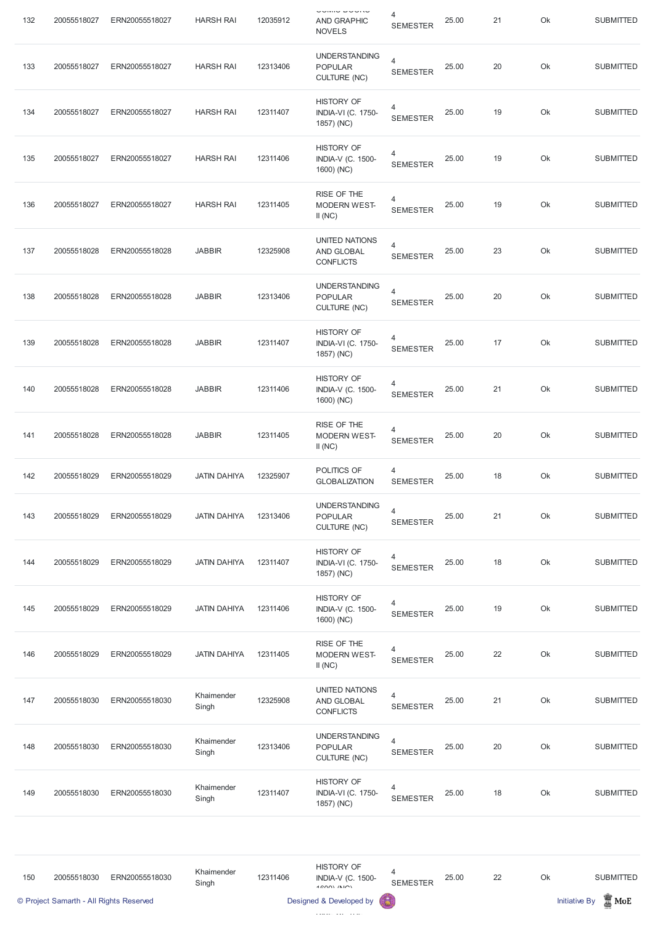| 132 | 20055518027                             | ERN20055518027 | <b>HARSH RAI</b>    | 12035912 | <b>OURNO DUUNG</b><br><b>AND GRAPHIC</b><br><b>NOVELS</b>      | 4<br><b>SEMESTER</b>              | 25.00 | 21 | Ok | <b>SUBMITTED</b>                        |
|-----|-----------------------------------------|----------------|---------------------|----------|----------------------------------------------------------------|-----------------------------------|-------|----|----|-----------------------------------------|
| 133 | 20055518027                             | ERN20055518027 | <b>HARSH RAI</b>    | 12313406 | <b>UNDERSTANDING</b><br><b>POPULAR</b><br><b>CULTURE (NC)</b>  | $\overline{4}$<br><b>SEMESTER</b> | 25.00 | 20 | Ok | <b>SUBMITTED</b>                        |
| 134 | 20055518027                             | ERN20055518027 | <b>HARSH RAI</b>    | 12311407 | <b>HISTORY OF</b><br>INDIA-VI (C. 1750-<br>1857) (NC)          | 4<br><b>SEMESTER</b>              | 25.00 | 19 | Ok | <b>SUBMITTED</b>                        |
| 135 | 20055518027                             | ERN20055518027 | <b>HARSH RAI</b>    | 12311406 | <b>HISTORY OF</b><br><b>INDIA-V (C. 1500-</b><br>1600) (NC)    | 4<br><b>SEMESTER</b>              | 25.00 | 19 | Ok | <b>SUBMITTED</b>                        |
| 136 | 20055518027                             | ERN20055518027 | <b>HARSH RAI</b>    | 12311405 | RISE OF THE<br><b>MODERN WEST-</b><br>II(NC)                   | 4<br><b>SEMESTER</b>              | 25.00 | 19 | Ok | <b>SUBMITTED</b>                        |
| 137 | 20055518028                             | ERN20055518028 | <b>JABBIR</b>       | 12325908 | <b>UNITED NATIONS</b><br>AND GLOBAL<br><b>CONFLICTS</b>        | 4<br><b>SEMESTER</b>              | 25.00 | 23 | Ok | <b>SUBMITTED</b>                        |
| 138 | 20055518028                             | ERN20055518028 | <b>JABBIR</b>       | 12313406 | <b>UNDERSTANDING</b><br><b>POPULAR</b><br><b>CULTURE (NC)</b>  | $\overline{4}$<br><b>SEMESTER</b> | 25.00 | 20 | Ok | <b>SUBMITTED</b>                        |
| 139 | 20055518028                             | ERN20055518028 | <b>JABBIR</b>       | 12311407 | <b>HISTORY OF</b><br><b>INDIA-VI (C. 1750-</b><br>1857) (NC)   | 4<br><b>SEMESTER</b>              | 25.00 | 17 | Ok | <b>SUBMITTED</b>                        |
| 140 | 20055518028                             | ERN20055518028 | <b>JABBIR</b>       | 12311406 | <b>HISTORY OF</b><br>INDIA-V (C. 1500-<br>1600) (NC)           | 4<br><b>SEMESTER</b>              | 25.00 | 21 | Ok | <b>SUBMITTED</b>                        |
| 141 | 20055518028                             | ERN20055518028 | <b>JABBIR</b>       | 12311405 | RISE OF THE<br><b>MODERN WEST-</b><br>II(NC)                   | 4<br><b>SEMESTER</b>              | 25.00 | 20 | Ok | <b>SUBMITTED</b>                        |
| 142 | 20055518029                             | ERN20055518029 | <b>JATIN DAHIYA</b> | 12325907 | POLITICS OF<br><b>GLOBALIZATION</b>                            | 4<br><b>SEMESTER</b>              | 25.00 | 18 | Ok | <b>SUBMITTED</b>                        |
| 143 | 20055518029                             | ERN20055518029 | <b>JATIN DAHIYA</b> | 12313406 | <b>UNDERSTANDING</b><br><b>POPULAR</b><br><b>CULTURE (NC)</b>  | $\overline{4}$<br><b>SEMESTER</b> | 25.00 | 21 | Ok | <b>SUBMITTED</b>                        |
| 144 | 20055518029                             | ERN20055518029 | <b>JATIN DAHIYA</b> | 12311407 | <b>HISTORY OF</b><br>INDIA-VI (C. 1750-<br>1857) (NC)          | 4<br><b>SEMESTER</b>              | 25.00 | 18 | Ok | <b>SUBMITTED</b>                        |
| 145 | 20055518029                             | ERN20055518029 | <b>JATIN DAHIYA</b> | 12311406 | <b>HISTORY OF</b><br>INDIA-V (C. 1500-<br>1600) (NC)           | 4<br><b>SEMESTER</b>              | 25.00 | 19 | Ok | <b>SUBMITTED</b>                        |
| 146 | 20055518029                             | ERN20055518029 | <b>JATIN DAHIYA</b> | 12311405 | RISE OF THE<br><b>MODERN WEST-</b><br>II(NC)                   | 4<br><b>SEMESTER</b>              | 25.00 | 22 | Ok | <b>SUBMITTED</b>                        |
| 147 | 20055518030                             | ERN20055518030 | Khaimender<br>Singh | 12325908 | <b>UNITED NATIONS</b><br><b>AND GLOBAL</b><br><b>CONFLICTS</b> | 4<br><b>SEMESTER</b>              | 25.00 | 21 | Ok | <b>SUBMITTED</b>                        |
| 148 | 20055518030                             | ERN20055518030 | Khaimender<br>Singh | 12313406 | <b>UNDERSTANDING</b><br><b>POPULAR</b><br><b>CULTURE (NC)</b>  | $\overline{4}$<br><b>SEMESTER</b> | 25.00 | 20 | Ok | <b>SUBMITTED</b>                        |
| 149 | 20055518030                             | ERN20055518030 | Khaimender<br>Singh | 12311407 | <b>HISTORY OF</b><br><b>INDIA-VI (C. 1750-</b><br>1857) (NC)   | 4<br><b>SEMESTER</b>              | 25.00 | 18 | Ok | <b>SUBMITTED</b>                        |
|     |                                         |                |                     |          |                                                                |                                   |       |    |    |                                         |
| 150 | 20055518030                             | ERN20055518030 | Khaimender<br>Singh | 12311406 | <b>HISTORY OF</b><br>INDIA-V (C. 1500-<br>$4$ COOL $(N)$       | 4<br><b>SEMESTER</b>              | 25.00 | 22 | Ok | <b>SUBMITTED</b>                        |
|     | © Project Samarth - All Rights Reserved |                |                     |          | Designed & Developed by                                        |                                   |       |    |    | $\mathbb Z$ MoE<br><b>Initiative By</b> |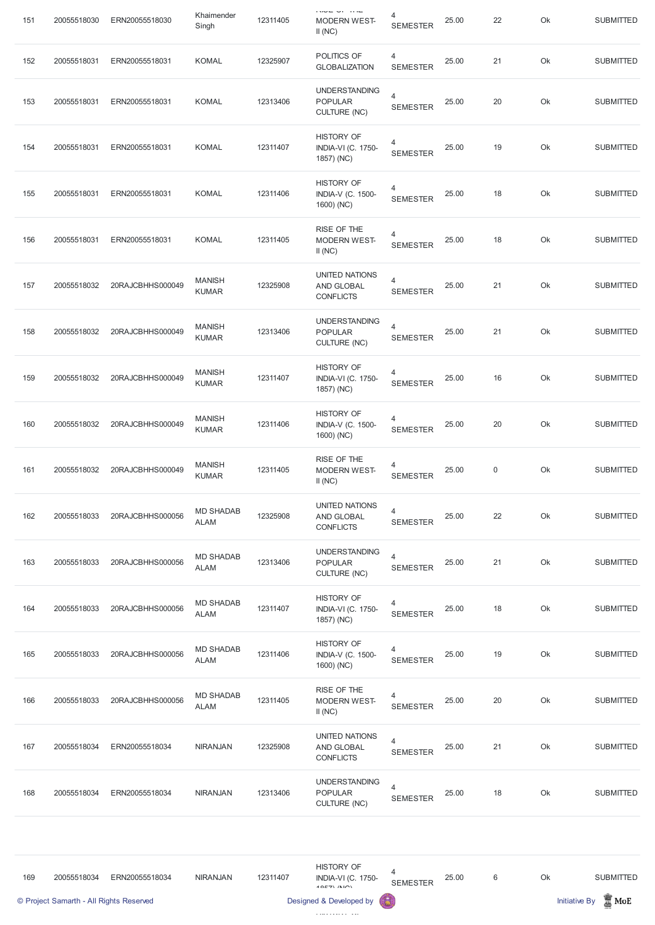| 151 | 20055518030                             | ERN20055518030   | Khaimender<br>Singh             | 12311405 | בחור וס בסטרו<br><b>MODERN WEST-</b><br>II(NC)                   | 4<br><b>SEMESTER</b>                        | 25.00 | 22          | Ok | <b>SUBMITTED</b>                        |
|-----|-----------------------------------------|------------------|---------------------------------|----------|------------------------------------------------------------------|---------------------------------------------|-------|-------------|----|-----------------------------------------|
| 152 | 20055518031                             | ERN20055518031   | <b>KOMAL</b>                    | 12325907 | POLITICS OF<br><b>GLOBALIZATION</b>                              | 4<br><b>SEMESTER</b>                        | 25.00 | 21          | Ok | <b>SUBMITTED</b>                        |
| 153 | 20055518031                             | ERN20055518031   | <b>KOMAL</b>                    | 12313406 | <b>UNDERSTANDING</b><br><b>POPULAR</b><br><b>CULTURE (NC)</b>    | $\overline{4}$<br><b>SEMESTER</b>           | 25.00 | 20          | Ok | <b>SUBMITTED</b>                        |
| 154 | 20055518031                             | ERN20055518031   | <b>KOMAL</b>                    | 12311407 | <b>HISTORY OF</b><br><b>INDIA-VI (C. 1750-</b><br>1857) (NC)     | 4<br><b>SEMESTER</b>                        | 25.00 | 19          | Ok | <b>SUBMITTED</b>                        |
| 155 | 20055518031                             | ERN20055518031   | <b>KOMAL</b>                    | 12311406 | <b>HISTORY OF</b><br><b>INDIA-V (C. 1500-</b><br>1600) (NC)      | 4<br><b>SEMESTER</b>                        | 25.00 | 18          | Ok | <b>SUBMITTED</b>                        |
| 156 | 20055518031                             | ERN20055518031   | <b>KOMAL</b>                    | 12311405 | RISE OF THE<br><b>MODERN WEST-</b><br>II(NC)                     | 4<br><b>SEMESTER</b>                        | 25.00 | 18          | Ok | <b>SUBMITTED</b>                        |
| 157 | 20055518032                             | 20RAJCBHHS000049 | <b>MANISH</b><br><b>KUMAR</b>   | 12325908 | <b>UNITED NATIONS</b><br>AND GLOBAL<br><b>CONFLICTS</b>          | 4<br><b>SEMESTER</b>                        | 25.00 | 21          | Ok | <b>SUBMITTED</b>                        |
| 158 | 20055518032                             | 20RAJCBHHS000049 | <b>MANISH</b><br><b>KUMAR</b>   | 12313406 | <b>UNDERSTANDING</b><br><b>POPULAR</b><br>CULTURE (NC)           | $\overline{4}$<br><b>SEMESTER</b>           | 25.00 | 21          | Ok | <b>SUBMITTED</b>                        |
| 159 | 20055518032                             | 20RAJCBHHS000049 | <b>MANISH</b><br><b>KUMAR</b>   | 12311407 | <b>HISTORY OF</b><br><b>INDIA-VI (C. 1750-</b><br>1857) (NC)     | 4<br><b>SEMESTER</b>                        | 25.00 | 16          | Ok | <b>SUBMITTED</b>                        |
| 160 | 20055518032                             | 20RAJCBHHS000049 | <b>MANISH</b><br><b>KUMAR</b>   | 12311406 | <b>HISTORY OF</b><br><b>INDIA-V (C. 1500-</b><br>1600) (NC)      | 4<br><b>SEMESTER</b>                        | 25.00 | 20          | Ok | <b>SUBMITTED</b>                        |
| 161 | 20055518032                             | 20RAJCBHHS000049 | <b>MANISH</b><br><b>KUMAR</b>   | 12311405 | RISE OF THE<br><b>MODERN WEST-</b><br>II(NC)                     | 4<br><b>SEMESTER</b>                        | 25.00 | $\mathbf 0$ | Ok | <b>SUBMITTED</b>                        |
| 162 | 20055518033                             | 20RAJCBHHS000056 | <b>MD SHADAB</b><br><b>ALAM</b> | 12325908 | <b>UNITED NATIONS</b><br>AND GLOBAL<br><b>CONFLICTS</b>          | 4<br><b>SEMESTER</b>                        | 25.00 | 22          | Ok | <b>SUBMITTED</b>                        |
| 163 | 20055518033                             | 20RAJCBHHS000056 | <b>MD SHADAB</b><br><b>ALAM</b> | 12313406 | <b>UNDERSTANDING</b><br><b>POPULAR</b><br><b>CULTURE (NC)</b>    | $\overline{4}$<br><b>SEMESTER</b>           | 25.00 | 21          | Ok | <b>SUBMITTED</b>                        |
| 164 | 20055518033                             | 20RAJCBHHS000056 | <b>MD SHADAB</b><br><b>ALAM</b> | 12311407 | <b>HISTORY OF</b><br><b>INDIA-VI (C. 1750-</b><br>1857) (NC)     | 4<br><b>SEMESTER</b>                        | 25.00 | 18          | Ok | <b>SUBMITTED</b>                        |
| 165 | 20055518033                             | 20RAJCBHHS000056 | <b>MD SHADAB</b><br><b>ALAM</b> | 12311406 | <b>HISTORY OF</b><br><b>INDIA-V (C. 1500-</b><br>1600) (NC)      | 4<br><b>SEMESTER</b>                        | 25.00 | 19          | Ok | <b>SUBMITTED</b>                        |
| 166 | 20055518033                             | 20RAJCBHHS000056 | <b>MD SHADAB</b><br><b>ALAM</b> | 12311405 | RISE OF THE<br><b>MODERN WEST-</b><br>II(NC)                     | 4<br><b>SEMESTER</b>                        | 25.00 | 20          | Ok | <b>SUBMITTED</b>                        |
| 167 | 20055518034                             | ERN20055518034   | <b>NIRANJAN</b>                 | 12325908 | <b>UNITED NATIONS</b><br>AND GLOBAL<br><b>CONFLICTS</b>          | $\overline{\mathcal{A}}$<br><b>SEMESTER</b> | 25.00 | 21          | Ok | <b>SUBMITTED</b>                        |
| 168 | 20055518034                             | ERN20055518034   | <b>NIRANJAN</b>                 | 12313406 | <b>UNDERSTANDING</b><br><b>POPULAR</b><br><b>CULTURE (NC)</b>    | 4<br><b>SEMESTER</b>                        | 25.00 | 18          | Ok | <b>SUBMITTED</b>                        |
| 169 | 20055518034                             | ERN20055518034   | <b>NIRANJAN</b>                 | 12311407 | <b>HISTORY OF</b><br><b>INDIA-VI (C. 1750-</b><br>$40E7$ $(N10)$ | 4<br><b>SEMESTER</b>                        | 25.00 | $6\,$       | Ok | <b>SUBMITTED</b>                        |
|     | © Project Samarth - All Rights Reserved |                  |                                 |          | Designed & Developed by                                          |                                             |       |             |    | $\mathbb Z$ MoE<br><b>Initiative By</b> |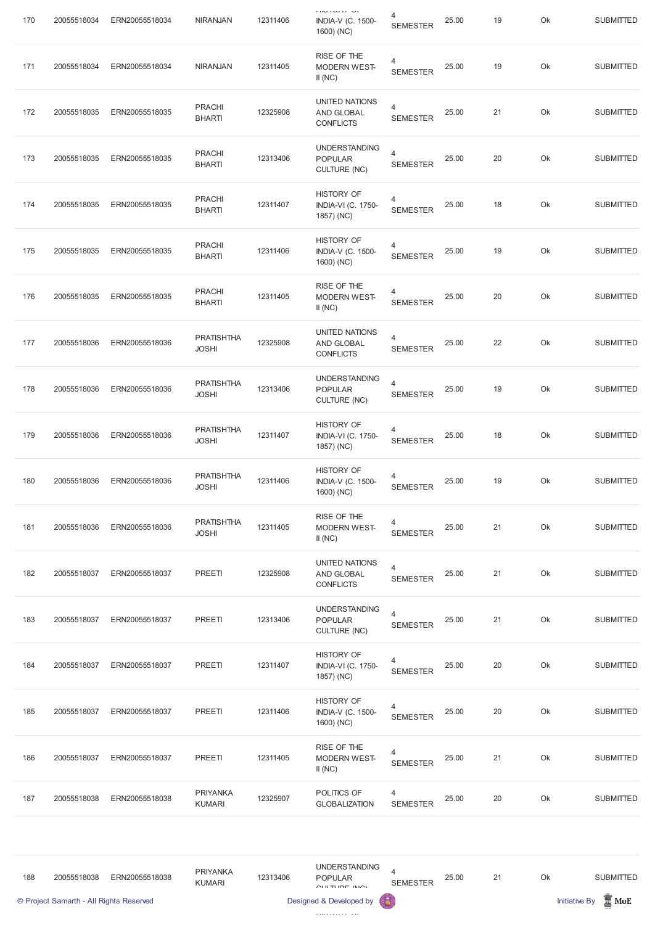| 170 | 20055518034                             | ERN20055518034 | <b>NIRANJAN</b>                   | 12311406 | <b>THU LUIST UI</b><br><b>INDIA-V (C. 1500-</b><br>1600) (NC)      | 4<br><b>SEMESTER</b>              | 25.00 | 19 | Ok | <b>SUBMITTED</b>                        |
|-----|-----------------------------------------|----------------|-----------------------------------|----------|--------------------------------------------------------------------|-----------------------------------|-------|----|----|-----------------------------------------|
| 171 | 20055518034                             | ERN20055518034 | <b>NIRANJAN</b>                   | 12311405 | RISE OF THE<br><b>MODERN WEST-</b><br>II(NC)                       | 4<br><b>SEMESTER</b>              | 25.00 | 19 | Ok | <b>SUBMITTED</b>                        |
| 172 | 20055518035                             | ERN20055518035 | <b>PRACHI</b><br><b>BHARTI</b>    | 12325908 | <b>UNITED NATIONS</b><br>AND GLOBAL<br><b>CONFLICTS</b>            | $\overline{4}$<br><b>SEMESTER</b> | 25.00 | 21 | Ok | <b>SUBMITTED</b>                        |
| 173 | 20055518035                             | ERN20055518035 | <b>PRACHI</b><br><b>BHARTI</b>    | 12313406 | <b>UNDERSTANDING</b><br><b>POPULAR</b><br><b>CULTURE (NC)</b>      | $\overline{4}$<br><b>SEMESTER</b> | 25.00 | 20 | Ok | <b>SUBMITTED</b>                        |
| 174 | 20055518035                             | ERN20055518035 | <b>PRACHI</b><br><b>BHARTI</b>    | 12311407 | <b>HISTORY OF</b><br><b>INDIA-VI (C. 1750-</b><br>1857) (NC)       | 4<br><b>SEMESTER</b>              | 25.00 | 18 | Ok | <b>SUBMITTED</b>                        |
| 175 | 20055518035                             | ERN20055518035 | <b>PRACHI</b><br><b>BHARTI</b>    | 12311406 | <b>HISTORY OF</b><br><b>INDIA-V (C. 1500-</b><br>1600) (NC)        | 4<br><b>SEMESTER</b>              | 25.00 | 19 | Ok | <b>SUBMITTED</b>                        |
| 176 | 20055518035                             | ERN20055518035 | <b>PRACHI</b><br><b>BHARTI</b>    | 12311405 | RISE OF THE<br>MODERN WEST-<br>II(NC)                              | 4<br><b>SEMESTER</b>              | 25.00 | 20 | Ok | <b>SUBMITTED</b>                        |
| 177 | 20055518036                             | ERN20055518036 | <b>PRATISHTHA</b><br><b>JOSHI</b> | 12325908 | <b>UNITED NATIONS</b><br><b>AND GLOBAL</b><br><b>CONFLICTS</b>     | 4<br><b>SEMESTER</b>              | 25.00 | 22 | Ok | <b>SUBMITTED</b>                        |
| 178 | 20055518036                             | ERN20055518036 | <b>PRATISHTHA</b><br><b>JOSHI</b> | 12313406 | <b>UNDERSTANDING</b><br><b>POPULAR</b><br><b>CULTURE (NC)</b>      | $\overline{4}$<br><b>SEMESTER</b> | 25.00 | 19 | Ok | <b>SUBMITTED</b>                        |
| 179 | 20055518036                             | ERN20055518036 | <b>PRATISHTHA</b><br><b>JOSHI</b> | 12311407 | <b>HISTORY OF</b><br><b>INDIA-VI (C. 1750-</b><br>1857) (NC)       | 4<br><b>SEMESTER</b>              | 25.00 | 18 | Ok | <b>SUBMITTED</b>                        |
| 180 | 20055518036                             | ERN20055518036 | <b>PRATISHTHA</b><br><b>JOSHI</b> | 12311406 | <b>HISTORY OF</b><br><b>INDIA-V (C. 1500-</b><br>1600) (NC)        | $\overline{4}$<br><b>SEMESTER</b> | 25.00 | 19 | Ok | <b>SUBMITTED</b>                        |
| 181 | 20055518036                             | ERN20055518036 | <b>PRATISHTHA</b><br><b>JOSHI</b> | 12311405 | RISE OF THE<br><b>MODERN WEST-</b><br>II(NC)                       | $\overline{4}$<br><b>SEMESTER</b> | 25.00 | 21 | Ok | <b>SUBMITTED</b>                        |
| 182 | 20055518037                             | ERN20055518037 | PREETI                            | 12325908 | UNITED NATIONS<br>AND GLOBAL<br><b>CONFLICTS</b>                   | $\overline{4}$<br><b>SEMESTER</b> | 25.00 | 21 | Ok | <b>SUBMITTED</b>                        |
| 183 | 20055518037                             | ERN20055518037 | PREETI                            | 12313406 | <b>UNDERSTANDING</b><br><b>POPULAR</b><br><b>CULTURE (NC)</b>      | $\overline{4}$<br><b>SEMESTER</b> | 25.00 | 21 | Ok | <b>SUBMITTED</b>                        |
| 184 | 20055518037                             | ERN20055518037 | PREETI                            | 12311407 | <b>HISTORY OF</b><br><b>INDIA-VI (C. 1750-</b><br>1857) (NC)       | 4<br><b>SEMESTER</b>              | 25.00 | 20 | Ok | <b>SUBMITTED</b>                        |
| 185 | 20055518037                             | ERN20055518037 | PREETI                            | 12311406 | <b>HISTORY OF</b><br><b>INDIA-V (C. 1500-</b><br>1600) (NC)        | 4<br><b>SEMESTER</b>              | 25.00 | 20 | Ok | <b>SUBMITTED</b>                        |
| 186 | 20055518037                             | ERN20055518037 | PREETI                            | 12311405 | RISE OF THE<br>MODERN WEST-<br>II(NC)                              | 4<br><b>SEMESTER</b>              | 25.00 | 21 | Ok | <b>SUBMITTED</b>                        |
| 187 | 20055518038                             | ERN20055518038 | <b>PRIYANKA</b><br><b>KUMARI</b>  | 12325907 | POLITICS OF<br><b>GLOBALIZATION</b>                                | 4<br><b>SEMESTER</b>              | 25.00 | 20 | Ok | <b>SUBMITTED</b>                        |
|     |                                         |                |                                   |          |                                                                    |                                   |       |    |    |                                         |
| 188 | 20055518038                             | ERN20055518038 | <b>PRIYANKA</b><br><b>KUMARI</b>  | 12313406 | <b>UNDERSTANDING</b><br><b>POPULAR</b><br>$C[111]$ TI IDE $/ N(C)$ | 4<br><b>SEMESTER</b>              | 25.00 | 21 | Ok | <b>SUBMITTED</b>                        |
|     | © Project Samarth - All Rights Reserved |                |                                   |          | Designed & Developed by                                            |                                   |       |    |    | $\mathbb Z$ MoE<br><b>Initiative By</b> |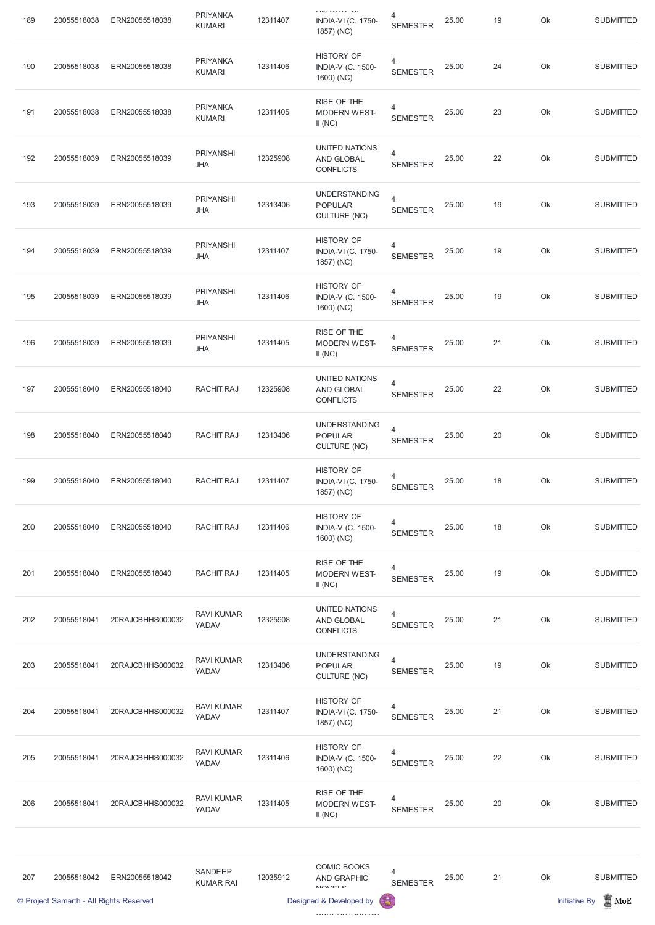| 189 | 20055518038                             | ERN20055518038   | <b>PRIYANKA</b><br><b>KUMARI</b> | 12311407 | <b>THU LUIST UT</b><br><b>INDIA-VI (C. 1750-</b><br>1857) (NC) | 4<br><b>SEMESTER</b>              | 25.00 | 19 | Ok | <b>SUBMITTED</b>                           |
|-----|-----------------------------------------|------------------|----------------------------------|----------|----------------------------------------------------------------|-----------------------------------|-------|----|----|--------------------------------------------|
| 190 | 20055518038                             | ERN20055518038   | <b>PRIYANKA</b><br><b>KUMARI</b> | 12311406 | <b>HISTORY OF</b><br><b>INDIA-V (C. 1500-</b><br>1600) (NC)    | 4<br><b>SEMESTER</b>              | 25.00 | 24 | Ok | <b>SUBMITTED</b>                           |
| 191 | 20055518038                             | ERN20055518038   | <b>PRIYANKA</b><br><b>KUMARI</b> | 12311405 | RISE OF THE<br><b>MODERN WEST-</b><br>II(NC)                   | $\overline{4}$<br><b>SEMESTER</b> | 25.00 | 23 | Ok | <b>SUBMITTED</b>                           |
| 192 | 20055518039                             | ERN20055518039   | <b>PRIYANSHI</b><br><b>JHA</b>   | 12325908 | <b>UNITED NATIONS</b><br><b>AND GLOBAL</b><br><b>CONFLICTS</b> | $\overline{4}$<br><b>SEMESTER</b> | 25.00 | 22 | Ok | <b>SUBMITTED</b>                           |
| 193 | 20055518039                             | ERN20055518039   | <b>PRIYANSHI</b><br><b>JHA</b>   | 12313406 | <b>UNDERSTANDING</b><br><b>POPULAR</b><br><b>CULTURE (NC)</b>  | $\overline{4}$<br><b>SEMESTER</b> | 25.00 | 19 | Ok | <b>SUBMITTED</b>                           |
| 194 | 20055518039                             | ERN20055518039   | <b>PRIYANSHI</b><br><b>JHA</b>   | 12311407 | <b>HISTORY OF</b><br><b>INDIA-VI (C. 1750-</b><br>1857) (NC)   | 4<br><b>SEMESTER</b>              | 25.00 | 19 | Ok | <b>SUBMITTED</b>                           |
| 195 | 20055518039                             | ERN20055518039   | <b>PRIYANSHI</b><br><b>JHA</b>   | 12311406 | <b>HISTORY OF</b><br><b>INDIA-V (C. 1500-</b><br>1600) (NC)    | 4<br><b>SEMESTER</b>              | 25.00 | 19 | Ok | <b>SUBMITTED</b>                           |
| 196 | 20055518039                             | ERN20055518039   | <b>PRIYANSHI</b><br><b>JHA</b>   | 12311405 | RISE OF THE<br><b>MODERN WEST-</b><br>II(NC)                   | 4<br><b>SEMESTER</b>              | 25.00 | 21 | Ok | <b>SUBMITTED</b>                           |
| 197 | 20055518040                             | ERN20055518040   | RACHIT RAJ                       | 12325908 | UNITED NATIONS<br>AND GLOBAL<br><b>CONFLICTS</b>               | 4<br><b>SEMESTER</b>              | 25.00 | 22 | Ok | <b>SUBMITTED</b>                           |
| 198 | 20055518040                             | ERN20055518040   | RACHIT RAJ                       | 12313406 | <b>UNDERSTANDING</b><br><b>POPULAR</b><br><b>CULTURE (NC)</b>  | $\overline{4}$<br><b>SEMESTER</b> | 25.00 | 20 | Ok | <b>SUBMITTED</b>                           |
| 199 | 20055518040                             | ERN20055518040   | RACHIT RAJ                       | 12311407 | <b>HISTORY OF</b><br><b>INDIA-VI (C. 1750-</b><br>1857) (NC)   | 4<br><b>SEMESTER</b>              | 25.00 | 18 | Ok | <b>SUBMITTED</b>                           |
| 200 | 20055518040                             | ERN20055518040   | RACHIT RAJ                       | 12311406 | <b>HISTORY OF</b><br><b>INDIA-V (C. 1500-</b><br>1600) (NC)    | 4<br><b>SEMESTER</b>              | 25.00 | 18 | Ok | <b>SUBMITTED</b>                           |
| 201 | 20055518040                             | ERN20055518040   | RACHIT RAJ                       | 12311405 | RISE OF THE<br><b>MODERN WEST-</b><br>II(NC)                   | 4<br><b>SEMESTER</b>              | 25.00 | 19 | Ok | <b>SUBMITTED</b>                           |
| 202 | 20055518041                             | 20RAJCBHHS000032 | <b>RAVI KUMAR</b><br>YADAV       | 12325908 | <b>UNITED NATIONS</b><br>AND GLOBAL<br><b>CONFLICTS</b>        | $\overline{4}$<br><b>SEMESTER</b> | 25.00 | 21 | Ok | <b>SUBMITTED</b>                           |
| 203 | 20055518041                             | 20RAJCBHHS000032 | <b>RAVI KUMAR</b><br>YADAV       | 12313406 | <b>UNDERSTANDING</b><br><b>POPULAR</b><br><b>CULTURE (NC)</b>  | $\overline{4}$<br><b>SEMESTER</b> | 25.00 | 19 | Ok | <b>SUBMITTED</b>                           |
| 204 | 20055518041                             | 20RAJCBHHS000032 | <b>RAVI KUMAR</b><br>YADAV       | 12311407 | <b>HISTORY OF</b><br><b>INDIA-VI (C. 1750-</b><br>1857) (NC)   | $\overline{4}$<br><b>SEMESTER</b> | 25.00 | 21 | Ok | <b>SUBMITTED</b>                           |
| 205 | 20055518041                             | 20RAJCBHHS000032 | <b>RAVI KUMAR</b><br>YADAV       | 12311406 | <b>HISTORY OF</b><br><b>INDIA-V (C. 1500-</b><br>1600) (NC)    | 4<br><b>SEMESTER</b>              | 25.00 | 22 | Ok | <b>SUBMITTED</b>                           |
| 206 | 20055518041                             | 20RAJCBHHS000032 | <b>RAVI KUMAR</b><br>YADAV       | 12311405 | RISE OF THE<br><b>MODERN WEST-</b><br>II(NC)                   | 4<br><b>SEMESTER</b>              | 25.00 | 20 | Ok | <b>SUBMITTED</b>                           |
|     |                                         |                  |                                  |          |                                                                |                                   |       |    |    |                                            |
| 207 | 20055518042                             | ERN20055518042   | SANDEEP<br><b>KUMAR RAI</b>      | 12035912 | <b>COMIC BOOKS</b><br><b>AND GRAPHIC</b><br>N/N/ELO            | 4<br><b>SEMESTER</b>              | 25.00 | 21 | Ok | <b>SUBMITTED</b>                           |
|     | © Project Samarth - All Rights Reserved |                  |                                  |          | Designed & Developed by                                        |                                   |       |    |    | $\frac{1}{20}$ MoE<br><b>Initiative By</b> |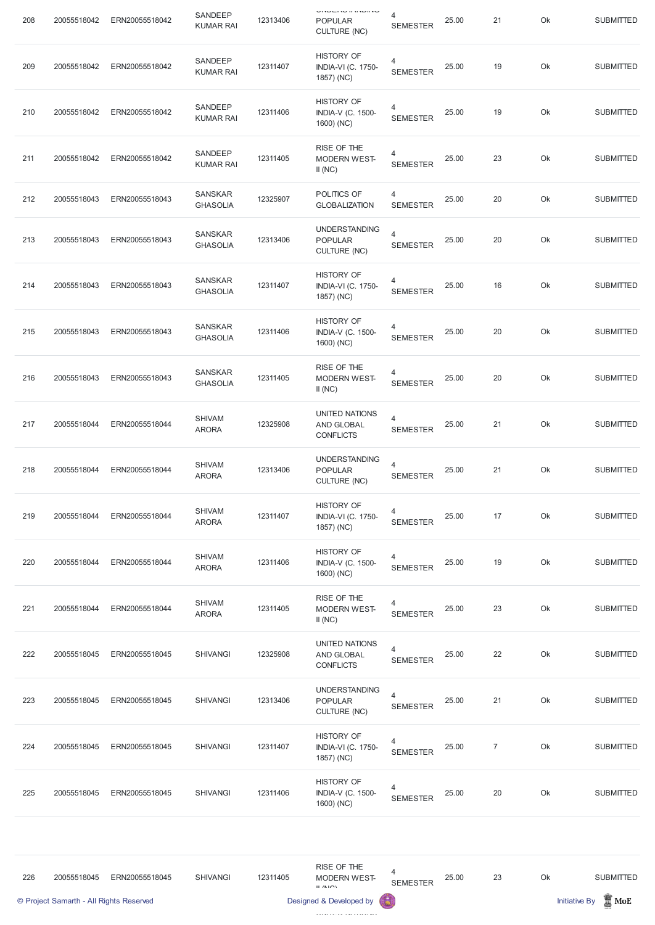| 208 | 20055518042                             | ERN20055518042 | SANDEEP<br><b>KUMAR RAI</b>       | 12313406 | <b>ONDER A BRITISH</b><br><b>POPULAR</b><br><b>CULTURE (NC)</b> | 4<br><b>SEMESTER</b>              | 25.00 | 21             | Ok | <b>SUBMITTED</b>                           |
|-----|-----------------------------------------|----------------|-----------------------------------|----------|-----------------------------------------------------------------|-----------------------------------|-------|----------------|----|--------------------------------------------|
| 209 | 20055518042                             | ERN20055518042 | SANDEEP<br><b>KUMAR RAI</b>       | 12311407 | <b>HISTORY OF</b><br><b>INDIA-VI (C. 1750-</b><br>1857) (NC)    | 4<br><b>SEMESTER</b>              | 25.00 | 19             | Ok | <b>SUBMITTED</b>                           |
| 210 | 20055518042                             | ERN20055518042 | SANDEEP<br><b>KUMAR RAI</b>       | 12311406 | <b>HISTORY OF</b><br><b>INDIA-V (C. 1500-</b><br>1600) (NC)     | $\overline{4}$<br><b>SEMESTER</b> | 25.00 | 19             | Ok | <b>SUBMITTED</b>                           |
| 211 | 20055518042                             | ERN20055518042 | SANDEEP<br><b>KUMAR RAI</b>       | 12311405 | RISE OF THE<br><b>MODERN WEST-</b><br>II(NC)                    | 4<br><b>SEMESTER</b>              | 25.00 | 23             | Ok | <b>SUBMITTED</b>                           |
| 212 | 20055518043                             | ERN20055518043 | <b>SANSKAR</b><br><b>GHASOLIA</b> | 12325907 | POLITICS OF<br><b>GLOBALIZATION</b>                             | 4<br><b>SEMESTER</b>              | 25.00 | 20             | Ok | <b>SUBMITTED</b>                           |
| 213 | 20055518043                             | ERN20055518043 | <b>SANSKAR</b><br><b>GHASOLIA</b> | 12313406 | <b>UNDERSTANDING</b><br><b>POPULAR</b><br><b>CULTURE (NC)</b>   | $\overline{4}$<br><b>SEMESTER</b> | 25.00 | 20             | Ok | <b>SUBMITTED</b>                           |
| 214 | 20055518043                             | ERN20055518043 | <b>SANSKAR</b><br><b>GHASOLIA</b> | 12311407 | <b>HISTORY OF</b><br><b>INDIA-VI (C. 1750-</b><br>1857) (NC)    | 4<br><b>SEMESTER</b>              | 25.00 | 16             | Ok | <b>SUBMITTED</b>                           |
| 215 | 20055518043                             | ERN20055518043 | <b>SANSKAR</b><br><b>GHASOLIA</b> | 12311406 | <b>HISTORY OF</b><br><b>INDIA-V (C. 1500-</b><br>1600) (NC)     | 4<br><b>SEMESTER</b>              | 25.00 | 20             | Ok | <b>SUBMITTED</b>                           |
| 216 | 20055518043                             | ERN20055518043 | <b>SANSKAR</b><br><b>GHASOLIA</b> | 12311405 | RISE OF THE<br><b>MODERN WEST-</b><br>II(NC)                    | 4<br><b>SEMESTER</b>              | 25.00 | 20             | Ok | <b>SUBMITTED</b>                           |
| 217 | 20055518044                             | ERN20055518044 | <b>SHIVAM</b><br><b>ARORA</b>     | 12325908 | <b>UNITED NATIONS</b><br>AND GLOBAL<br><b>CONFLICTS</b>         | 4<br><b>SEMESTER</b>              | 25.00 | 21             | Ok | <b>SUBMITTED</b>                           |
| 218 | 20055518044                             | ERN20055518044 | <b>SHIVAM</b><br><b>ARORA</b>     | 12313406 | <b>UNDERSTANDING</b><br><b>POPULAR</b><br><b>CULTURE (NC)</b>   | $\overline{4}$<br><b>SEMESTER</b> | 25.00 | 21             | Ok | <b>SUBMITTED</b>                           |
| 219 | 20055518044                             | ERN20055518044 | <b>SHIVAM</b><br><b>ARORA</b>     | 12311407 | <b>HISTORY OF</b><br><b>INDIA-VI (C. 1750-</b><br>1857) (NC)    | 4<br><b>SEMESTER</b>              | 25.00 | 17             | Ok | <b>SUBMITTED</b>                           |
| 220 | 20055518044                             | ERN20055518044 | <b>SHIVAM</b><br><b>ARORA</b>     | 12311406 | <b>HISTORY OF</b><br><b>INDIA-V (C. 1500-</b><br>1600) (NC)     | 4<br><b>SEMESTER</b>              | 25.00 | 19             | Ok | <b>SUBMITTED</b>                           |
| 221 | 20055518044                             | ERN20055518044 | <b>SHIVAM</b><br><b>ARORA</b>     | 12311405 | RISE OF THE<br><b>MODERN WEST-</b><br>II(NC)                    | 4<br><b>SEMESTER</b>              | 25.00 | 23             | Ok | <b>SUBMITTED</b>                           |
| 222 | 20055518045                             | ERN20055518045 | <b>SHIVANGI</b>                   | 12325908 | <b>UNITED NATIONS</b><br>AND GLOBAL<br><b>CONFLICTS</b>         | 4<br><b>SEMESTER</b>              | 25.00 | 22             | Ok | <b>SUBMITTED</b>                           |
| 223 | 20055518045                             | ERN20055518045 | <b>SHIVANGI</b>                   | 12313406 | <b>UNDERSTANDING</b><br><b>POPULAR</b><br>CULTURE (NC)          | 4<br><b>SEMESTER</b>              | 25.00 | 21             | Ok | <b>SUBMITTED</b>                           |
| 224 | 20055518045                             | ERN20055518045 | <b>SHIVANGI</b>                   | 12311407 | <b>HISTORY OF</b><br><b>INDIA-VI (C. 1750-</b><br>1857) (NC)    | 4<br><b>SEMESTER</b>              | 25.00 | $\overline{7}$ | Ok | <b>SUBMITTED</b>                           |
| 225 | 20055518045                             | ERN20055518045 | <b>SHIVANGI</b>                   | 12311406 | <b>HISTORY OF</b><br><b>INDIA-V (C. 1500-</b><br>1600) (NC)     | 4<br><b>SEMESTER</b>              | 25.00 | 20             | Ok | <b>SUBMITTED</b>                           |
|     |                                         |                |                                   |          |                                                                 |                                   |       |                |    |                                            |
| 226 | 20055518045                             | ERN20055518045 | <b>SHIVANGI</b>                   | 12311405 | RISE OF THE<br><b>MODERN WEST-</b><br>$II$ /NIO)                | 4<br><b>SEMESTER</b>              | 25.00 | 23             | Ok | <b>SUBMITTED</b>                           |
|     | © Project Samarth - All Rights Reserved |                |                                   |          | Designed & Developed by                                         | 6                                 |       |                |    | $\frac{1}{20}$ MoE<br><b>Initiative By</b> |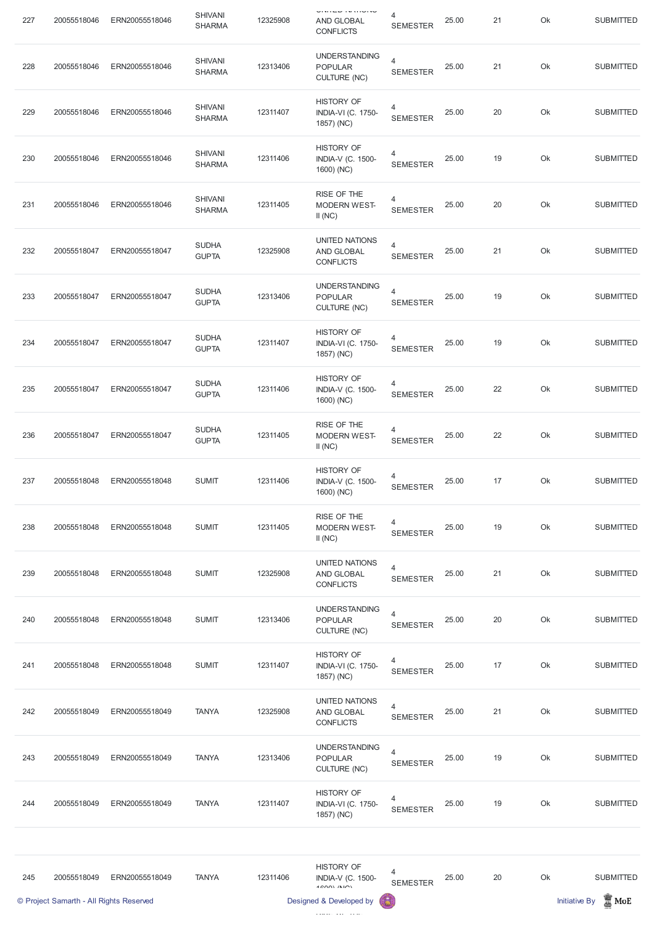| 227 | 20055518046 | ERN20055518046 | <b>SHIVANI</b><br><b>SHARMA</b> | 12325908 | <b>UNITED IN HIGH-</b><br><b>AND GLOBAL</b><br><b>CONFLICTS</b> | 4<br><b>SEMESTER</b>              | 25.00 | 21 | Ok | <b>SUBMITTED</b> |
|-----|-------------|----------------|---------------------------------|----------|-----------------------------------------------------------------|-----------------------------------|-------|----|----|------------------|
| 228 | 20055518046 | ERN20055518046 | <b>SHIVANI</b><br><b>SHARMA</b> | 12313406 | <b>UNDERSTANDING</b><br><b>POPULAR</b><br>CULTURE (NC)          | $\overline{4}$<br><b>SEMESTER</b> | 25.00 | 21 | Ok | <b>SUBMITTED</b> |
| 229 | 20055518046 | ERN20055518046 | <b>SHIVANI</b><br><b>SHARMA</b> | 12311407 | <b>HISTORY OF</b><br><b>INDIA-VI (C. 1750-</b><br>1857) (NC)    | 4<br><b>SEMESTER</b>              | 25.00 | 20 | Ok | <b>SUBMITTED</b> |
| 230 | 20055518046 | ERN20055518046 | <b>SHIVANI</b><br><b>SHARMA</b> | 12311406 | <b>HISTORY OF</b><br><b>INDIA-V (C. 1500-</b><br>1600) (NC)     | 4<br><b>SEMESTER</b>              | 25.00 | 19 | Ok | <b>SUBMITTED</b> |
| 231 | 20055518046 | ERN20055518046 | <b>SHIVANI</b><br><b>SHARMA</b> | 12311405 | RISE OF THE<br><b>MODERN WEST-</b><br>II(NC)                    | 4<br><b>SEMESTER</b>              | 25.00 | 20 | Ok | <b>SUBMITTED</b> |
| 232 | 20055518047 | ERN20055518047 | <b>SUDHA</b><br><b>GUPTA</b>    | 12325908 | UNITED NATIONS<br>AND GLOBAL<br><b>CONFLICTS</b>                | $\overline{4}$<br><b>SEMESTER</b> | 25.00 | 21 | Ok | <b>SUBMITTED</b> |
| 233 | 20055518047 | ERN20055518047 | <b>SUDHA</b><br><b>GUPTA</b>    | 12313406 | <b>UNDERSTANDING</b><br><b>POPULAR</b><br><b>CULTURE (NC)</b>   | $\overline{4}$<br><b>SEMESTER</b> | 25.00 | 19 | Ok | <b>SUBMITTED</b> |
| 234 | 20055518047 | ERN20055518047 | <b>SUDHA</b><br><b>GUPTA</b>    | 12311407 | <b>HISTORY OF</b><br><b>INDIA-VI (C. 1750-</b><br>1857) (NC)    | 4<br><b>SEMESTER</b>              | 25.00 | 19 | Ok | <b>SUBMITTED</b> |
| 235 | 20055518047 | ERN20055518047 | <b>SUDHA</b><br><b>GUPTA</b>    | 12311406 | <b>HISTORY OF</b><br><b>INDIA-V (C. 1500-</b><br>1600) (NC)     | 4<br><b>SEMESTER</b>              | 25.00 | 22 | Ok | <b>SUBMITTED</b> |
| 236 | 20055518047 | ERN20055518047 | <b>SUDHA</b><br><b>GUPTA</b>    | 12311405 | RISE OF THE<br><b>MODERN WEST-</b><br>II(NC)                    | 4<br><b>SEMESTER</b>              | 25.00 | 22 | Ok | <b>SUBMITTED</b> |
| 237 | 20055518048 | ERN20055518048 | <b>SUMIT</b>                    | 12311406 | <b>HISTORY OF</b><br><b>INDIA-V (C. 1500-</b><br>1600) (NC)     | 4<br><b>SEMESTER</b>              | 25.00 | 17 | Ok | <b>SUBMITTED</b> |
| 238 | 20055518048 | ERN20055518048 | <b>SUMIT</b>                    | 12311405 | RISE OF THE<br><b>MODERN WEST-</b><br>II(NC)                    | $\overline{4}$<br><b>SEMESTER</b> | 25.00 | 19 | Ok | <b>SUBMITTED</b> |
| 239 | 20055518048 | ERN20055518048 | <b>SUMIT</b>                    | 12325908 | UNITED NATIONS<br>AND GLOBAL<br><b>CONFLICTS</b>                | $\overline{4}$<br><b>SEMESTER</b> | 25.00 | 21 | Ok | <b>SUBMITTED</b> |
| 240 | 20055518048 | ERN20055518048 | <b>SUMIT</b>                    | 12313406 | <b>UNDERSTANDING</b><br><b>POPULAR</b><br><b>CULTURE (NC)</b>   | $\overline{4}$<br><b>SEMESTER</b> | 25.00 | 20 | Ok | <b>SUBMITTED</b> |
| 241 | 20055518048 | ERN20055518048 | <b>SUMIT</b>                    | 12311407 | <b>HISTORY OF</b><br><b>INDIA-VI (C. 1750-</b><br>1857) (NC)    | 4<br><b>SEMESTER</b>              | 25.00 | 17 | Ok | <b>SUBMITTED</b> |

|     | © Project Samarth - All Rights Reserved |                |              |          | Designed & Developed by                                         | 63                   |       |    |    | $\mathbb Z$ MoE<br><b>Initiative By</b> |
|-----|-----------------------------------------|----------------|--------------|----------|-----------------------------------------------------------------|----------------------|-------|----|----|-----------------------------------------|
| 245 | 20055518049                             | ERN20055518049 | <b>TANYA</b> | 12311406 | <b>HISTORY OF</b><br><b>INDIA-V (C. 1500-</b><br>$4$ COON $(N)$ | 4<br><b>SEMESTER</b> | 25.00 | 20 | Ok | <b>SUBMITTED</b>                        |
| 244 | 20055518049                             | ERN20055518049 | <b>TANYA</b> | 12311407 | <b>HISTORY OF</b><br><b>INDIA-VI (C. 1750-</b><br>1857) (NC)    | 4<br><b>SEMESTER</b> | 25.00 | 19 | Ok | <b>SUBMITTED</b>                        |
| 243 | 20055518049                             | ERN20055518049 | <b>TANYA</b> | 12313406 | <b>UNDERSTANDING</b><br><b>POPULAR</b><br><b>CULTURE (NC)</b>   | 4<br><b>SEMESTER</b> | 25.00 | 19 | Ok | <b>SUBMITTED</b>                        |
| 242 | 20055518049                             | ERN20055518049 | <b>TANYA</b> | 12325908 | UNITED NATIONS<br>AND GLOBAL<br><b>CONFLICTS</b>                | 4<br><b>SEMESTER</b> | 25.00 | 21 | Ok | <b>SUBMITTED</b>                        |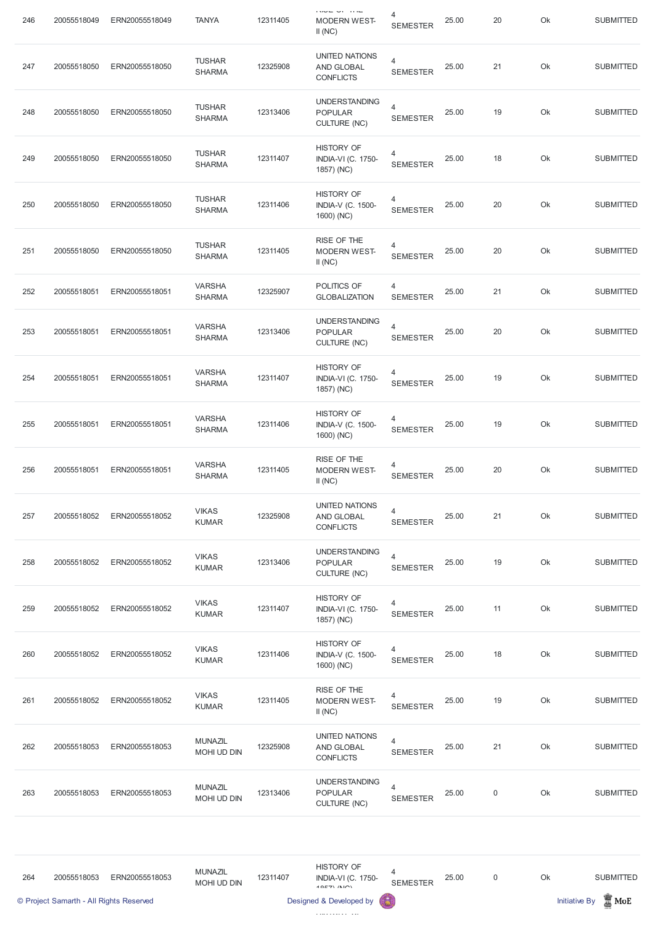| 246 | 20055518049                                            | ERN20055518049 | <b>TANYA</b>                   | 12311405 | $1 \times 10 = 10$<br><b>MODERN WEST-</b><br>II(NC)                                         | 4<br><b>SEMESTER</b>              | 25.00 | 20               | Ok | <b>SUBMITTED</b>                                            |
|-----|--------------------------------------------------------|----------------|--------------------------------|----------|---------------------------------------------------------------------------------------------|-----------------------------------|-------|------------------|----|-------------------------------------------------------------|
| 247 | 20055518050                                            | ERN20055518050 | <b>TUSHAR</b><br><b>SHARMA</b> | 12325908 | <b>UNITED NATIONS</b><br>AND GLOBAL<br><b>CONFLICTS</b>                                     | $\overline{4}$<br><b>SEMESTER</b> | 25.00 | 21               | Ok | <b>SUBMITTED</b>                                            |
| 248 | 20055518050                                            | ERN20055518050 | <b>TUSHAR</b><br><b>SHARMA</b> | 12313406 | <b>UNDERSTANDING</b><br><b>POPULAR</b><br><b>CULTURE (NC)</b>                               | $\overline{4}$<br><b>SEMESTER</b> | 25.00 | 19               | Ok | <b>SUBMITTED</b>                                            |
| 249 | 20055518050                                            | ERN20055518050 | <b>TUSHAR</b><br><b>SHARMA</b> | 12311407 | <b>HISTORY OF</b><br><b>INDIA-VI (C. 1750-</b><br>1857) (NC)                                | $\overline{4}$<br><b>SEMESTER</b> | 25.00 | 18               | Ok | <b>SUBMITTED</b>                                            |
| 250 | 20055518050                                            | ERN20055518050 | <b>TUSHAR</b><br><b>SHARMA</b> | 12311406 | <b>HISTORY OF</b><br>INDIA-V (C. 1500-<br>1600) (NC)                                        | 4<br><b>SEMESTER</b>              | 25.00 | 20               | Ok | <b>SUBMITTED</b>                                            |
| 251 | 20055518050                                            | ERN20055518050 | <b>TUSHAR</b><br><b>SHARMA</b> | 12311405 | RISE OF THE<br><b>MODERN WEST-</b><br>II(NC)                                                | 4<br><b>SEMESTER</b>              | 25.00 | 20               | Ok | <b>SUBMITTED</b>                                            |
| 252 | 20055518051                                            | ERN20055518051 | <b>VARSHA</b><br><b>SHARMA</b> | 12325907 | POLITICS OF<br><b>GLOBALIZATION</b>                                                         | 4<br><b>SEMESTER</b>              | 25.00 | 21               | Ok | <b>SUBMITTED</b>                                            |
| 253 | 20055518051                                            | ERN20055518051 | <b>VARSHA</b><br><b>SHARMA</b> | 12313406 | <b>UNDERSTANDING</b><br><b>POPULAR</b><br><b>CULTURE (NC)</b>                               | $\overline{4}$<br><b>SEMESTER</b> | 25.00 | 20               | Ok | <b>SUBMITTED</b>                                            |
| 254 | 20055518051                                            | ERN20055518051 | <b>VARSHA</b><br><b>SHARMA</b> | 12311407 | <b>HISTORY OF</b><br><b>INDIA-VI (C. 1750-</b><br>1857) (NC)                                | 4<br><b>SEMESTER</b>              | 25.00 | 19               | Ok | <b>SUBMITTED</b>                                            |
| 255 | 20055518051                                            | ERN20055518051 | <b>VARSHA</b><br><b>SHARMA</b> | 12311406 | <b>HISTORY OF</b><br><b>INDIA-V (C. 1500-</b><br>1600) (NC)                                 | 4<br><b>SEMESTER</b>              | 25.00 | 19               | Ok | <b>SUBMITTED</b>                                            |
| 256 | 20055518051                                            | ERN20055518051 | <b>VARSHA</b><br><b>SHARMA</b> | 12311405 | RISE OF THE<br><b>MODERN WEST-</b><br>II(NC)                                                | 4<br><b>SEMESTER</b>              | 25.00 | 20               | Ok | <b>SUBMITTED</b>                                            |
| 257 | 20055518052                                            | ERN20055518052 | <b>VIKAS</b><br><b>KUMAR</b>   | 12325908 | <b>UNITED NATIONS</b><br>AND GLOBAL<br><b>CONFLICTS</b>                                     | $\overline{4}$<br><b>SEMESTER</b> | 25.00 | 21               | Ok | <b>SUBMITTED</b>                                            |
| 258 | 20055518052                                            | ERN20055518052 | <b>VIKAS</b><br><b>KUMAR</b>   | 12313406 | <b>UNDERSTANDING</b><br><b>POPULAR</b><br><b>CULTURE (NC)</b>                               | $\overline{4}$<br><b>SEMESTER</b> | 25.00 | 19               | Ok | <b>SUBMITTED</b>                                            |
| 259 | 20055518052                                            | ERN20055518052 | <b>VIKAS</b><br><b>KUMAR</b>   | 12311407 | <b>HISTORY OF</b><br><b>INDIA-VI (C. 1750-</b><br>1857) (NC)                                | 4<br><b>SEMESTER</b>              | 25.00 | 11               | Ok | <b>SUBMITTED</b>                                            |
| 260 | 20055518052                                            | ERN20055518052 | <b>VIKAS</b><br><b>KUMAR</b>   | 12311406 | <b>HISTORY OF</b><br>INDIA-V (C. 1500-<br>1600) (NC)                                        | 4<br><b>SEMESTER</b>              | 25.00 | 18               | Ok | <b>SUBMITTED</b>                                            |
| 261 | 20055518052                                            | ERN20055518052 | <b>VIKAS</b><br><b>KUMAR</b>   | 12311405 | RISE OF THE<br><b>MODERN WEST-</b><br>II(NC)                                                | 4<br><b>SEMESTER</b>              | 25.00 | 19               | Ok | <b>SUBMITTED</b>                                            |
| 262 | 20055518053                                            | ERN20055518053 | <b>MUNAZIL</b><br>MOHI UD DIN  | 12325908 | <b>UNITED NATIONS</b><br>AND GLOBAL<br><b>CONFLICTS</b>                                     | $\overline{4}$<br><b>SEMESTER</b> | 25.00 | 21               | Ok | <b>SUBMITTED</b>                                            |
| 263 | 20055518053                                            | ERN20055518053 | <b>MUNAZIL</b><br>MOHI UD DIN  | 12313406 | <b>UNDERSTANDING</b><br><b>POPULAR</b><br><b>CULTURE (NC)</b>                               | $\overline{4}$<br><b>SEMESTER</b> | 25.00 | $\boldsymbol{0}$ | Ok | <b>SUBMITTED</b>                                            |
| 264 | 20055518053<br>© Project Samarth - All Rights Reserved | ERN20055518053 | <b>MUNAZIL</b><br>MOHI UD DIN  | 12311407 | <b>HISTORY OF</b><br><b>INDIA-VI (C. 1750-</b><br>$40E7$ $(N10)$<br>Designed & Developed by | 4<br><b>SEMESTER</b><br>6         | 25.00 | $\mathbf 0$      | Ok | <b>SUBMITTED</b><br>$\mathbb Z$ MoE<br><b>Initiative By</b> |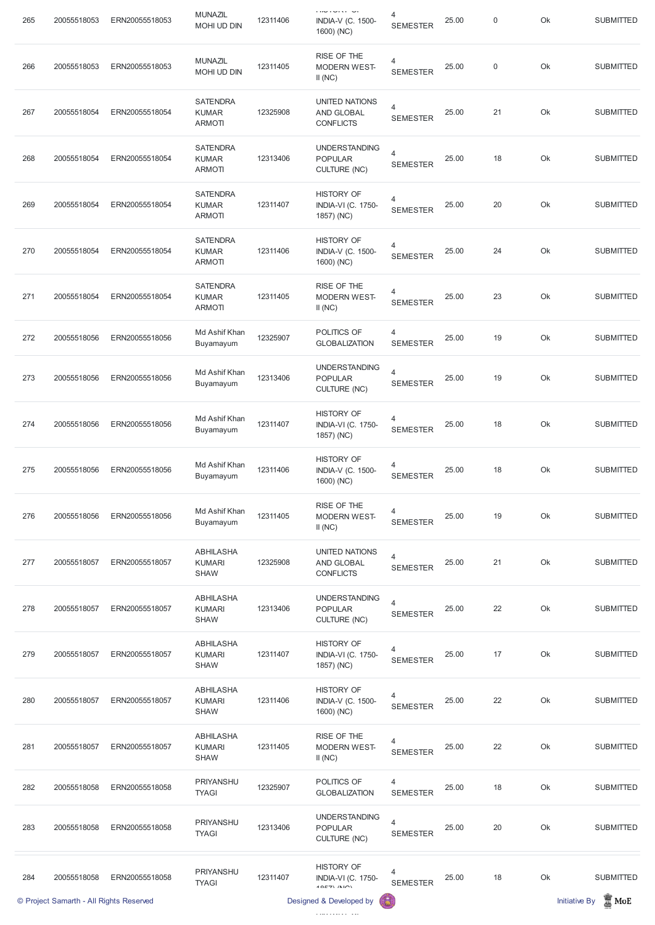|     | © Project Samarth - All Rights Reserved |                |                                                  |          | Designed & Developed by                                          |                                   |       |                  |    | $\mathbb Z$ MoE<br><b>Initiative By</b> |
|-----|-----------------------------------------|----------------|--------------------------------------------------|----------|------------------------------------------------------------------|-----------------------------------|-------|------------------|----|-----------------------------------------|
| 284 | 20055518058                             | ERN20055518058 | PRIYANSHU<br><b>TYAGI</b>                        | 12311407 | <b>HISTORY OF</b><br><b>INDIA-VI (C. 1750-</b><br>$40E7$ $(N10)$ | 4<br><b>SEMESTER</b>              | 25.00 | 18               | Ok | <b>SUBMITTED</b>                        |
| 283 | 20055518058                             | ERN20055518058 | PRIYANSHU<br><b>TYAGI</b>                        | 12313406 | <b>UNDERSTANDING</b><br><b>POPULAR</b><br><b>CULTURE (NC)</b>    | 4<br><b>SEMESTER</b>              | 25.00 | 20               | Ok | <b>SUBMITTED</b>                        |
| 282 | 20055518058                             | ERN20055518058 | PRIYANSHU<br><b>TYAGI</b>                        | 12325907 | POLITICS OF<br><b>GLOBALIZATION</b>                              | 4<br><b>SEMESTER</b>              | 25.00 | 18               | Ok | <b>SUBMITTED</b>                        |
| 281 | 20055518057                             | ERN20055518057 | <b>ABHILASHA</b><br><b>KUMARI</b><br><b>SHAW</b> | 12311405 | RISE OF THE<br><b>MODERN WEST-</b><br>II(NC)                     | 4<br><b>SEMESTER</b>              | 25.00 | 22               | Ok | <b>SUBMITTED</b>                        |
| 280 | 20055518057                             | ERN20055518057 | <b>ABHILASHA</b><br><b>KUMARI</b><br><b>SHAW</b> | 12311406 | <b>HISTORY OF</b><br><b>INDIA-V (C. 1500-</b><br>1600) (NC)      | 4<br><b>SEMESTER</b>              | 25.00 | 22               | Ok | <b>SUBMITTED</b>                        |
| 279 | 20055518057                             | ERN20055518057 | <b>ABHILASHA</b><br><b>KUMARI</b><br><b>SHAW</b> | 12311407 | <b>HISTORY OF</b><br><b>INDIA-VI (C. 1750-</b><br>1857) (NC)     | 4<br><b>SEMESTER</b>              | 25.00 | 17               | Ok | <b>SUBMITTED</b>                        |
| 278 | 20055518057                             | ERN20055518057 | <b>ABHILASHA</b><br><b>KUMARI</b><br><b>SHAW</b> | 12313406 | <b>UNDERSTANDING</b><br><b>POPULAR</b><br><b>CULTURE (NC)</b>    | 4<br><b>SEMESTER</b>              | 25.00 | 22               | Ok | <b>SUBMITTED</b>                        |
| 277 | 20055518057                             | ERN20055518057 | <b>ABHILASHA</b><br><b>KUMARI</b><br><b>SHAW</b> | 12325908 | <b>UNITED NATIONS</b><br>AND GLOBAL<br><b>CONFLICTS</b>          | $\overline{4}$<br><b>SEMESTER</b> | 25.00 | 21               | Ok | <b>SUBMITTED</b>                        |
| 276 | 20055518056                             | ERN20055518056 | Md Ashif Khan<br>Buyamayum                       | 12311405 | RISE OF THE<br><b>MODERN WEST-</b><br>II(NC)                     | 4<br><b>SEMESTER</b>              | 25.00 | 19               | Ok | <b>SUBMITTED</b>                        |
| 275 | 20055518056                             | ERN20055518056 | Md Ashif Khan<br>Buyamayum                       | 12311406 | <b>HISTORY OF</b><br><b>INDIA-V (C. 1500-</b><br>1600) (NC)      | 4<br><b>SEMESTER</b>              | 25.00 | 18               | Ok | <b>SUBMITTED</b>                        |
| 274 | 20055518056                             | ERN20055518056 | Md Ashif Khan<br>Buyamayum                       | 12311407 | <b>HISTORY OF</b><br><b>INDIA-VI (C. 1750-</b><br>1857) (NC)     | 4<br><b>SEMESTER</b>              | 25.00 | 18               | Ok | <b>SUBMITTED</b>                        |
| 273 | 20055518056                             | ERN20055518056 | Md Ashif Khan<br>Buyamayum                       | 12313406 | <b>UNDERSTANDING</b><br><b>POPULAR</b><br><b>CULTURE (NC)</b>    | $\overline{4}$<br><b>SEMESTER</b> | 25.00 | 19               | Ok | <b>SUBMITTED</b>                        |
| 272 | 20055518056                             | ERN20055518056 | Md Ashif Khan<br>Buyamayum                       | 12325907 | POLITICS OF<br><b>GLOBALIZATION</b>                              | 4<br><b>SEMESTER</b>              | 25.00 | 19               | Ok | <b>SUBMITTED</b>                        |
| 271 | 20055518054                             | ERN20055518054 | <b>SATENDRA</b><br><b>KUMAR</b><br><b>ARMOTI</b> | 12311405 | RISE OF THE<br><b>MODERN WEST-</b><br>II(NC)                     | 4<br><b>SEMESTER</b>              | 25.00 | 23               | Ok | <b>SUBMITTED</b>                        |
| 270 | 20055518054                             | ERN20055518054 | <b>SATENDRA</b><br><b>KUMAR</b><br><b>ARMOTI</b> | 12311406 | <b>HISTORY OF</b><br><b>INDIA-V (C. 1500-</b><br>1600) (NC)      | 4<br><b>SEMESTER</b>              | 25.00 | 24               | Ok | <b>SUBMITTED</b>                        |
| 269 | 20055518054                             | ERN20055518054 | <b>SATENDRA</b><br><b>KUMAR</b><br><b>ARMOTI</b> | 12311407 | <b>HISTORY OF</b><br><b>INDIA-VI (C. 1750-</b><br>1857) (NC)     | 4<br><b>SEMESTER</b>              | 25.00 | 20               | Ok | <b>SUBMITTED</b>                        |
| 268 | 20055518054                             | ERN20055518054 | <b>SATENDRA</b><br><b>KUMAR</b><br><b>ARMOTI</b> | 12313406 | <b>UNDERSTANDING</b><br><b>POPULAR</b><br><b>CULTURE (NC)</b>    | $\overline{4}$<br><b>SEMESTER</b> | 25.00 | 18               | Ok | <b>SUBMITTED</b>                        |
| 267 | 20055518054                             | ERN20055518054 | <b>SATENDRA</b><br><b>KUMAR</b><br><b>ARMOTI</b> | 12325908 | <b>UNITED NATIONS</b><br>AND GLOBAL<br><b>CONFLICTS</b>          | $\overline{4}$<br><b>SEMESTER</b> | 25.00 | 21               | Ok | <b>SUBMITTED</b>                        |
| 266 | 20055518053                             | ERN20055518053 | <b>MUNAZIL</b><br>MOHI UD DIN                    | 12311405 | RISE OF THE<br><b>MODERN WEST-</b><br>II(NC)                     | 4<br><b>SEMESTER</b>              | 25.00 | $\boldsymbol{0}$ | Ok | <b>SUBMITTED</b>                        |
| 265 | 20055518053                             | ERN20055518053 | <b>MUNAZIL</b><br><b>MOHI UD DIN</b>             | 12311406 | <b>UNIVERSITY</b><br><b>INDIA-V (C. 1500-</b><br>1600) (NC)      | 4<br><b>SEMESTER</b>              | 25.00 | $\mathsf 0$      | Ok | <b>SUBMITTED</b>                        |